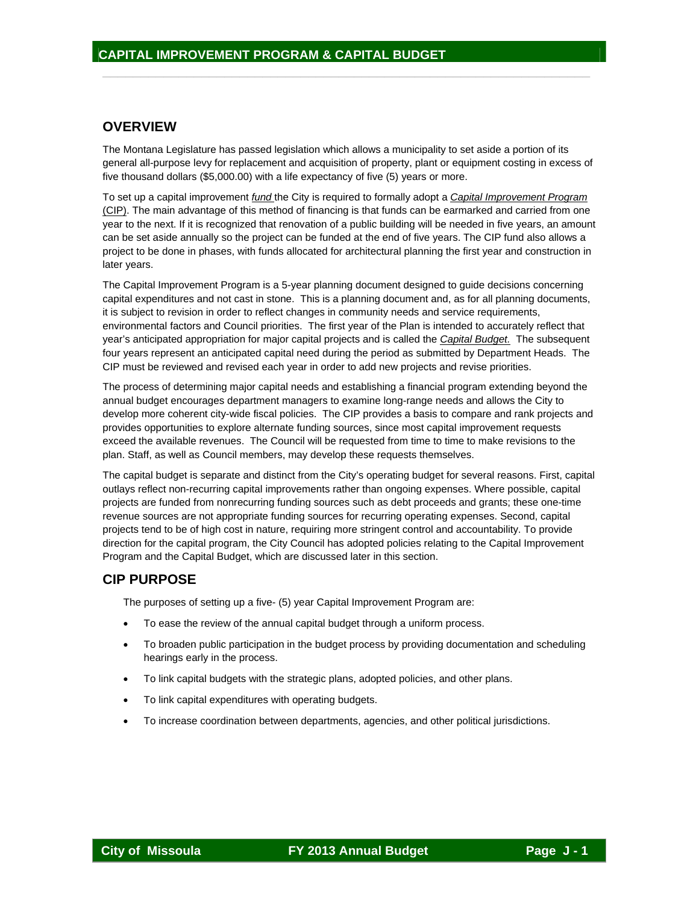#### **OVERVIEW**

The Montana Legislature has passed legislation which allows a municipality to set aside a portion of its general all-purpose levy for replacement and acquisition of property, plant or equipment costing in excess of five thousand dollars (\$5,000.00) with a life expectancy of five (5) years or more.

 $\frac{1}{2}$  ,  $\frac{1}{2}$  ,  $\frac{1}{2}$  ,  $\frac{1}{2}$  ,  $\frac{1}{2}$  ,  $\frac{1}{2}$  ,  $\frac{1}{2}$  ,  $\frac{1}{2}$  ,  $\frac{1}{2}$  ,  $\frac{1}{2}$  ,  $\frac{1}{2}$  ,  $\frac{1}{2}$  ,  $\frac{1}{2}$  ,  $\frac{1}{2}$  ,  $\frac{1}{2}$  ,  $\frac{1}{2}$  ,  $\frac{1}{2}$  ,  $\frac{1}{2}$  ,  $\frac{1$ 

To set up a capital improvement *fund* the City is required to formally adopt a *Capital Improvement Program* (CIP). The main advantage of this method of financing is that funds can be earmarked and carried from one year to the next. If it is recognized that renovation of a public building will be needed in five years, an amount can be set aside annually so the project can be funded at the end of five years. The CIP fund also allows a project to be done in phases, with funds allocated for architectural planning the first year and construction in later years.

The Capital Improvement Program is a 5-year planning document designed to guide decisions concerning capital expenditures and not cast in stone. This is a planning document and, as for all planning documents, it is subject to revision in order to reflect changes in community needs and service requirements, environmental factors and Council priorities. The first year of the Plan is intended to accurately reflect that year's anticipated appropriation for major capital projects and is called the *Capital Budget.* The subsequent four years represent an anticipated capital need during the period as submitted by Department Heads. The CIP must be reviewed and revised each year in order to add new projects and revise priorities.

The process of determining major capital needs and establishing a financial program extending beyond the annual budget encourages department managers to examine long-range needs and allows the City to develop more coherent city-wide fiscal policies. The CIP provides a basis to compare and rank projects and provides opportunities to explore alternate funding sources, since most capital improvement requests exceed the available revenues. The Council will be requested from time to time to make revisions to the plan. Staff, as well as Council members, may develop these requests themselves.

The capital budget is separate and distinct from the City's operating budget for several reasons. First, capital outlays reflect non-recurring capital improvements rather than ongoing expenses. Where possible, capital projects are funded from nonrecurring funding sources such as debt proceeds and grants; these one-time revenue sources are not appropriate funding sources for recurring operating expenses. Second, capital projects tend to be of high cost in nature, requiring more stringent control and accountability. To provide direction for the capital program, the City Council has adopted policies relating to the Capital Improvement Program and the Capital Budget, which are discussed later in this section.

### **CIP PURPOSE**

The purposes of setting up a five- (5) year Capital Improvement Program are:

- To ease the review of the annual capital budget through a uniform process.
- To broaden public participation in the budget process by providing documentation and scheduling hearings early in the process.
- To link capital budgets with the strategic plans, adopted policies, and other plans.
- To link capital expenditures with operating budgets.
- To increase coordination between departments, agencies, and other political jurisdictions.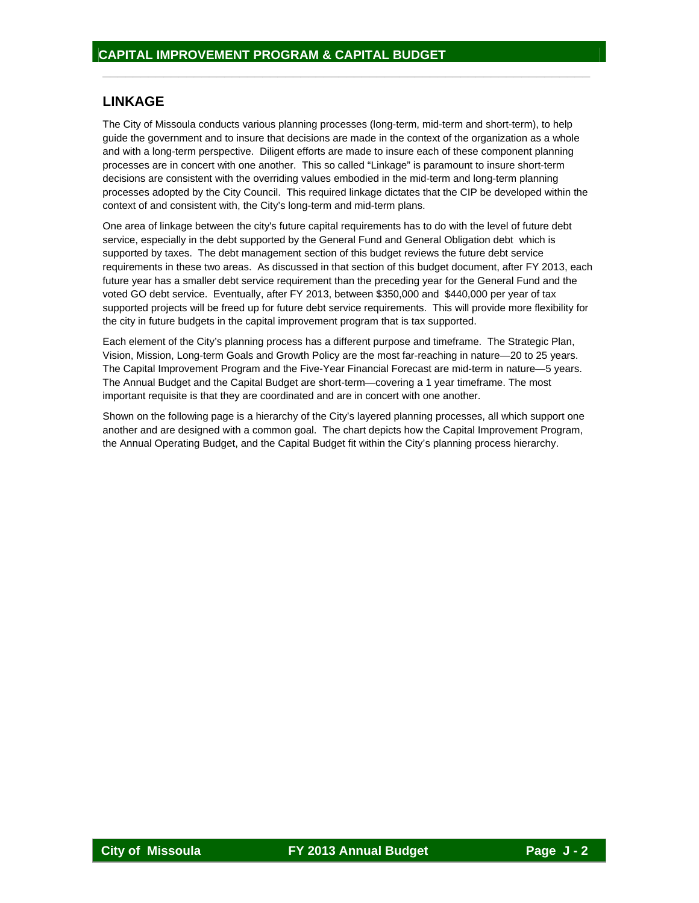## **LINKAGE**

The City of Missoula conducts various planning processes (long-term, mid-term and short-term), to help guide the government and to insure that decisions are made in the context of the organization as a whole and with a long-term perspective. Diligent efforts are made to insure each of these component planning processes are in concert with one another. This so called "Linkage" is paramount to insure short-term decisions are consistent with the overriding values embodied in the mid-term and long-term planning processes adopted by the City Council. This required linkage dictates that the CIP be developed within the context of and consistent with, the City's long-term and mid-term plans.

 $\frac{1}{2}$  ,  $\frac{1}{2}$  ,  $\frac{1}{2}$  ,  $\frac{1}{2}$  ,  $\frac{1}{2}$  ,  $\frac{1}{2}$  ,  $\frac{1}{2}$  ,  $\frac{1}{2}$  ,  $\frac{1}{2}$  ,  $\frac{1}{2}$  ,  $\frac{1}{2}$  ,  $\frac{1}{2}$  ,  $\frac{1}{2}$  ,  $\frac{1}{2}$  ,  $\frac{1}{2}$  ,  $\frac{1}{2}$  ,  $\frac{1}{2}$  ,  $\frac{1}{2}$  ,  $\frac{1$ 

One area of linkage between the city's future capital requirements has to do with the level of future debt service, especially in the debt supported by the General Fund and General Obligation debt which is supported by taxes. The debt management section of this budget reviews the future debt service requirements in these two areas. As discussed in that section of this budget document, after FY 2013, each future year has a smaller debt service requirement than the preceding year for the General Fund and the voted GO debt service. Eventually, after FY 2013, between \$350,000 and \$440,000 per year of tax supported projects will be freed up for future debt service requirements. This will provide more flexibility for the city in future budgets in the capital improvement program that is tax supported.

Each element of the City's planning process has a different purpose and timeframe. The Strategic Plan, Vision, Mission, Long-term Goals and Growth Policy are the most far-reaching in nature—20 to 25 years. The Capital Improvement Program and the Five-Year Financial Forecast are mid-term in nature—5 years. The Annual Budget and the Capital Budget are short-term—covering a 1 year timeframe. The most important requisite is that they are coordinated and are in concert with one another.

Shown on the following page is a hierarchy of the City's layered planning processes, all which support one another and are designed with a common goal. The chart depicts how the Capital Improvement Program, the Annual Operating Budget, and the Capital Budget fit within the City's planning process hierarchy.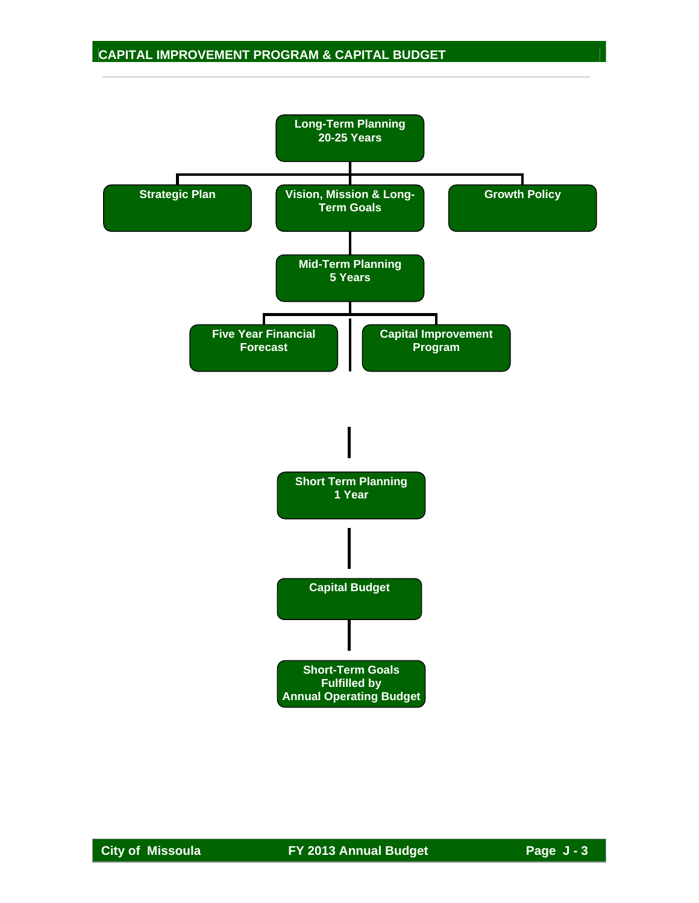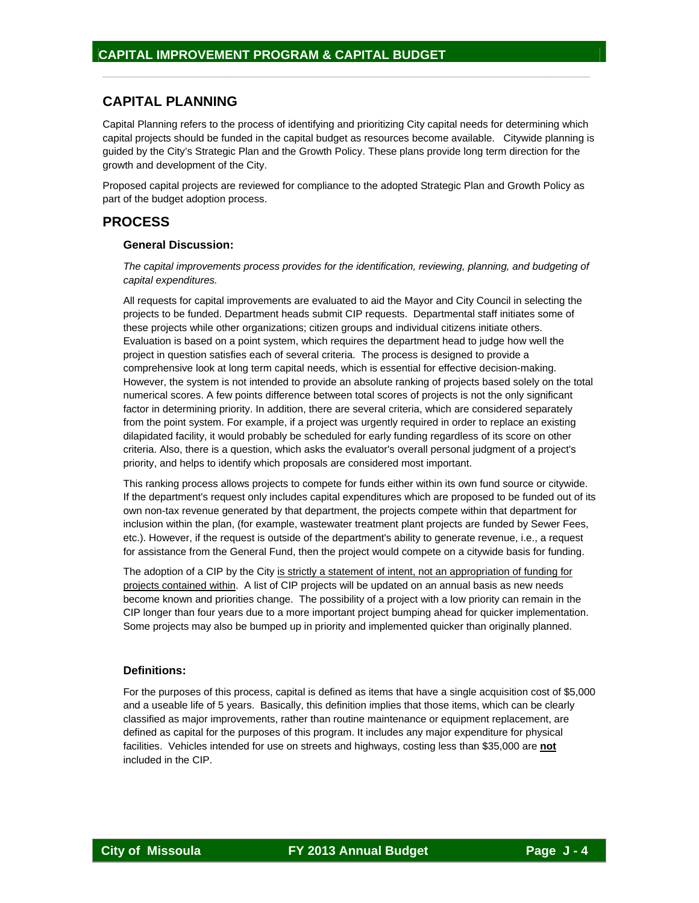## **CAPITAL PLANNING**

Capital Planning refers to the process of identifying and prioritizing City capital needs for determining which capital projects should be funded in the capital budget as resources become available. Citywide planning is guided by the City's Strategic Plan and the Growth Policy. These plans provide long term direction for the growth and development of the City.

 $\frac{1}{2}$  ,  $\frac{1}{2}$  ,  $\frac{1}{2}$  ,  $\frac{1}{2}$  ,  $\frac{1}{2}$  ,  $\frac{1}{2}$  ,  $\frac{1}{2}$  ,  $\frac{1}{2}$  ,  $\frac{1}{2}$  ,  $\frac{1}{2}$  ,  $\frac{1}{2}$  ,  $\frac{1}{2}$  ,  $\frac{1}{2}$  ,  $\frac{1}{2}$  ,  $\frac{1}{2}$  ,  $\frac{1}{2}$  ,  $\frac{1}{2}$  ,  $\frac{1}{2}$  ,  $\frac{1$ 

Proposed capital projects are reviewed for compliance to the adopted Strategic Plan and Growth Policy as part of the budget adoption process.

#### **PROCESS**

#### **General Discussion:**

*The capital improvements process provides for the identification, reviewing, planning, and budgeting of capital expenditures.* 

All requests for capital improvements are evaluated to aid the Mayor and City Council in selecting the projects to be funded. Department heads submit CIP requests. Departmental staff initiates some of these projects while other organizations; citizen groups and individual citizens initiate others. Evaluation is based on a point system, which requires the department head to judge how well the project in question satisfies each of several criteria. The process is designed to provide a comprehensive look at long term capital needs, which is essential for effective decision-making. However, the system is not intended to provide an absolute ranking of projects based solely on the total numerical scores. A few points difference between total scores of projects is not the only significant factor in determining priority. In addition, there are several criteria, which are considered separately from the point system. For example, if a project was urgently required in order to replace an existing dilapidated facility, it would probably be scheduled for early funding regardless of its score on other criteria. Also, there is a question, which asks the evaluator's overall personal judgment of a project's priority, and helps to identify which proposals are considered most important.

This ranking process allows projects to compete for funds either within its own fund source or citywide. If the department's request only includes capital expenditures which are proposed to be funded out of its own non-tax revenue generated by that department, the projects compete within that department for inclusion within the plan, (for example, wastewater treatment plant projects are funded by Sewer Fees, etc.). However, if the request is outside of the department's ability to generate revenue, i.e., a request for assistance from the General Fund, then the project would compete on a citywide basis for funding.

The adoption of a CIP by the City is strictly a statement of intent, not an appropriation of funding for projects contained within. A list of CIP projects will be updated on an annual basis as new needs become known and priorities change. The possibility of a project with a low priority can remain in the CIP longer than four years due to a more important project bumping ahead for quicker implementation. Some projects may also be bumped up in priority and implemented quicker than originally planned.

#### **Definitions:**

For the purposes of this process, capital is defined as items that have a single acquisition cost of \$5,000 and a useable life of 5 years. Basically, this definition implies that those items, which can be clearly classified as major improvements, rather than routine maintenance or equipment replacement, are defined as capital for the purposes of this program. It includes any major expenditure for physical facilities. Vehicles intended for use on streets and highways, costing less than \$35,000 are **not** included in the CIP.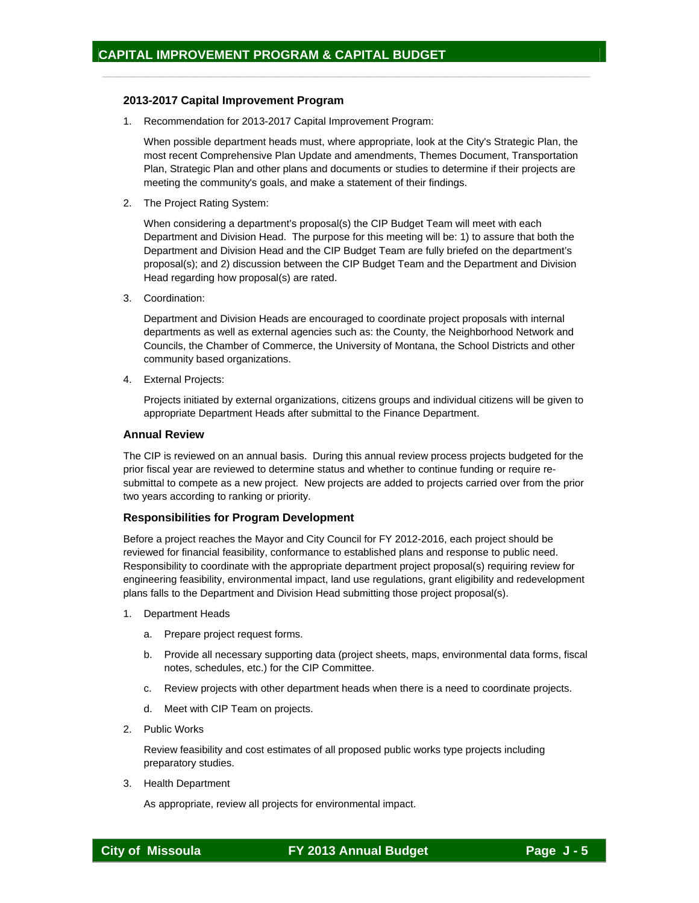#### **2013-2017 Capital Improvement Program**

1. Recommendation for 2013-2017 Capital Improvement Program:

When possible department heads must, where appropriate, look at the City's Strategic Plan, the most recent Comprehensive Plan Update and amendments, Themes Document, Transportation Plan, Strategic Plan and other plans and documents or studies to determine if their projects are meeting the community's goals, and make a statement of their findings.

 $\frac{1}{2}$  ,  $\frac{1}{2}$  ,  $\frac{1}{2}$  ,  $\frac{1}{2}$  ,  $\frac{1}{2}$  ,  $\frac{1}{2}$  ,  $\frac{1}{2}$  ,  $\frac{1}{2}$  ,  $\frac{1}{2}$  ,  $\frac{1}{2}$  ,  $\frac{1}{2}$  ,  $\frac{1}{2}$  ,  $\frac{1}{2}$  ,  $\frac{1}{2}$  ,  $\frac{1}{2}$  ,  $\frac{1}{2}$  ,  $\frac{1}{2}$  ,  $\frac{1}{2}$  ,  $\frac{1$ 

2. The Project Rating System:

When considering a department's proposal(s) the CIP Budget Team will meet with each Department and Division Head. The purpose for this meeting will be: 1) to assure that both the Department and Division Head and the CIP Budget Team are fully briefed on the department's proposal(s); and 2) discussion between the CIP Budget Team and the Department and Division Head regarding how proposal(s) are rated.

3. Coordination:

Department and Division Heads are encouraged to coordinate project proposals with internal departments as well as external agencies such as: the County, the Neighborhood Network and Councils, the Chamber of Commerce, the University of Montana, the School Districts and other community based organizations.

4. External Projects:

Projects initiated by external organizations, citizens groups and individual citizens will be given to appropriate Department Heads after submittal to the Finance Department.

#### **Annual Review**

The CIP is reviewed on an annual basis. During this annual review process projects budgeted for the prior fiscal year are reviewed to determine status and whether to continue funding or require resubmittal to compete as a new project. New projects are added to projects carried over from the prior two years according to ranking or priority.

#### **Responsibilities for Program Development**

Before a project reaches the Mayor and City Council for FY 2012-2016, each project should be reviewed for financial feasibility, conformance to established plans and response to public need. Responsibility to coordinate with the appropriate department project proposal(s) requiring review for engineering feasibility, environmental impact, land use regulations, grant eligibility and redevelopment plans falls to the Department and Division Head submitting those project proposal(s).

- 1. Department Heads
	- a. Prepare project request forms.
	- b. Provide all necessary supporting data (project sheets, maps, environmental data forms, fiscal notes, schedules, etc.) for the CIP Committee.
	- c. Review projects with other department heads when there is a need to coordinate projects.
	- d. Meet with CIP Team on projects.
- 2. Public Works

 Review feasibility and cost estimates of all proposed public works type projects including preparatory studies.

3. Health Department

As appropriate, review all projects for environmental impact.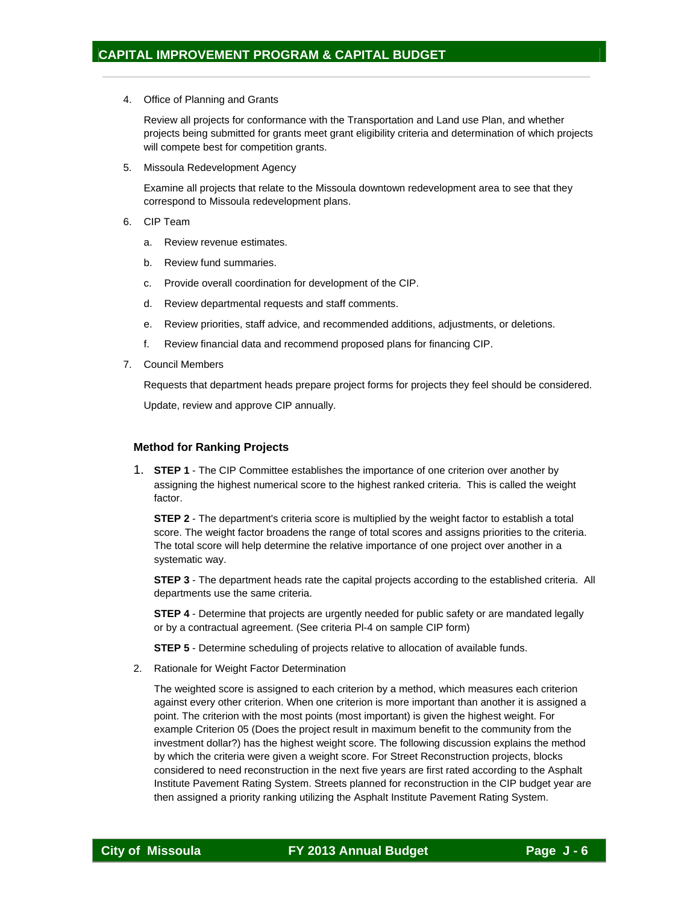4. Office of Planning and Grants

 Review all projects for conformance with the Transportation and Land use Plan, and whether projects being submitted for grants meet grant eligibility criteria and determination of which projects will compete best for competition grants.

 $\frac{1}{2}$  ,  $\frac{1}{2}$  ,  $\frac{1}{2}$  ,  $\frac{1}{2}$  ,  $\frac{1}{2}$  ,  $\frac{1}{2}$  ,  $\frac{1}{2}$  ,  $\frac{1}{2}$  ,  $\frac{1}{2}$  ,  $\frac{1}{2}$  ,  $\frac{1}{2}$  ,  $\frac{1}{2}$  ,  $\frac{1}{2}$  ,  $\frac{1}{2}$  ,  $\frac{1}{2}$  ,  $\frac{1}{2}$  ,  $\frac{1}{2}$  ,  $\frac{1}{2}$  ,  $\frac{1$ 

5. Missoula Redevelopment Agency

 Examine all projects that relate to the Missoula downtown redevelopment area to see that they correspond to Missoula redevelopment plans.

- 6. CIP Team
	- a. Review revenue estimates.
	- b. Review fund summaries.
	- c. Provide overall coordination for development of the CIP.
	- d. Review departmental requests and staff comments.
	- e. Review priorities, staff advice, and recommended additions, adjustments, or deletions.
	- f. Review financial data and recommend proposed plans for financing CIP.
- 7. Council Members

Requests that department heads prepare project forms for projects they feel should be considered.

Update, review and approve CIP annually.

#### **Method for Ranking Projects**

1. **STEP 1** - The CIP Committee establishes the importance of one criterion over another by assigning the highest numerical score to the highest ranked criteria. This is called the weight factor.

**STEP 2** - The department's criteria score is multiplied by the weight factor to establish a total score. The weight factor broadens the range of total scores and assigns priorities to the criteria. The total score will help determine the relative importance of one project over another in a systematic way.

**STEP 3** - The department heads rate the capital projects according to the established criteria. All departments use the same criteria.

**STEP 4** - Determine that projects are urgently needed for public safety or are mandated legally or by a contractual agreement. (See criteria Pl-4 on sample CIP form)

**STEP 5** - Determine scheduling of projects relative to allocation of available funds.

2. Rationale for Weight Factor Determination

The weighted score is assigned to each criterion by a method, which measures each criterion against every other criterion. When one criterion is more important than another it is assigned a point. The criterion with the most points (most important) is given the highest weight. For example Criterion 05 (Does the project result in maximum benefit to the community from the investment dollar?) has the highest weight score. The following discussion explains the method by which the criteria were given a weight score. For Street Reconstruction projects, blocks considered to need reconstruction in the next five years are first rated according to the Asphalt Institute Pavement Rating System. Streets planned for reconstruction in the CIP budget year are then assigned a priority ranking utilizing the Asphalt Institute Pavement Rating System.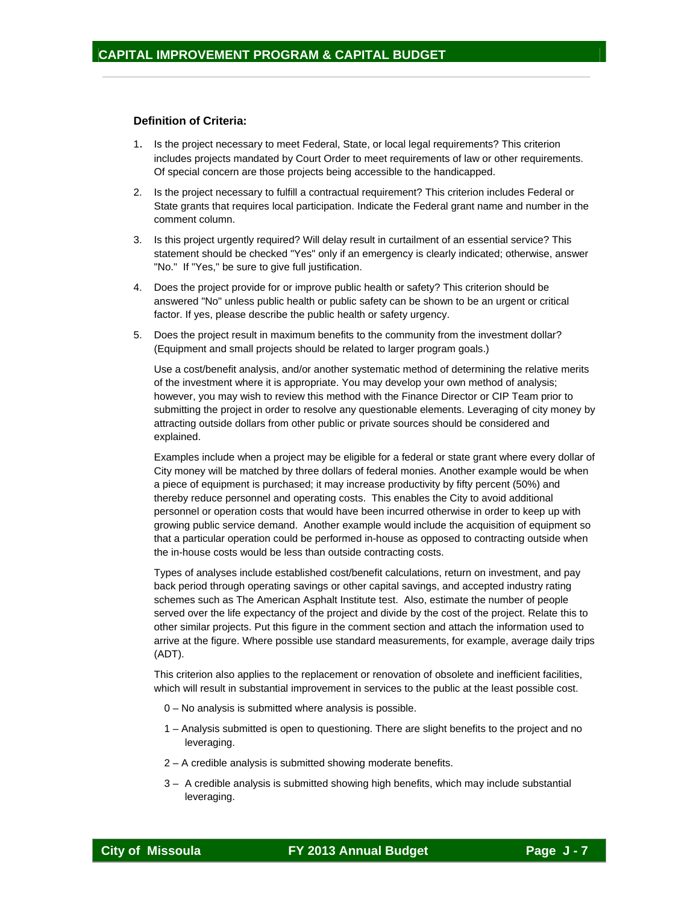#### **Definition of Criteria:**

1. Is the project necessary to meet Federal, State, or local legal requirements? This criterion includes projects mandated by Court Order to meet requirements of law or other requirements. Of special concern are those projects being accessible to the handicapped.

 $\frac{1}{2}$  ,  $\frac{1}{2}$  ,  $\frac{1}{2}$  ,  $\frac{1}{2}$  ,  $\frac{1}{2}$  ,  $\frac{1}{2}$  ,  $\frac{1}{2}$  ,  $\frac{1}{2}$  ,  $\frac{1}{2}$  ,  $\frac{1}{2}$  ,  $\frac{1}{2}$  ,  $\frac{1}{2}$  ,  $\frac{1}{2}$  ,  $\frac{1}{2}$  ,  $\frac{1}{2}$  ,  $\frac{1}{2}$  ,  $\frac{1}{2}$  ,  $\frac{1}{2}$  ,  $\frac{1$ 

- 2. Is the project necessary to fulfill a contractual requirement? This criterion includes Federal or State grants that requires local participation. Indicate the Federal grant name and number in the comment column.
- 3. Is this project urgently required? Will delay result in curtailment of an essential service? This statement should be checked "Yes" only if an emergency is clearly indicated; otherwise, answer "No." If "Yes," be sure to give full justification.
- 4. Does the project provide for or improve public health or safety? This criterion should be answered "No" unless public health or public safety can be shown to be an urgent or critical factor. If yes, please describe the public health or safety urgency.
- 5. Does the project result in maximum benefits to the community from the investment dollar? (Equipment and small projects should be related to larger program goals.)

Use a cost/benefit analysis, and/or another systematic method of determining the relative merits of the investment where it is appropriate. You may develop your own method of analysis; however, you may wish to review this method with the Finance Director or CIP Team prior to submitting the project in order to resolve any questionable elements. Leveraging of city money by attracting outside dollars from other public or private sources should be considered and explained.

Examples include when a project may be eligible for a federal or state grant where every dollar of City money will be matched by three dollars of federal monies. Another example would be when a piece of equipment is purchased; it may increase productivity by fifty percent (50%) and thereby reduce personnel and operating costs. This enables the City to avoid additional personnel or operation costs that would have been incurred otherwise in order to keep up with growing public service demand. Another example would include the acquisition of equipment so that a particular operation could be performed in-house as opposed to contracting outside when the in-house costs would be less than outside contracting costs.

Types of analyses include established cost/benefit calculations, return on investment, and pay back period through operating savings or other capital savings, and accepted industry rating schemes such as The American Asphalt Institute test. Also, estimate the number of people served over the life expectancy of the project and divide by the cost of the project. Relate this to other similar projects. Put this figure in the comment section and attach the information used to arrive at the figure. Where possible use standard measurements, for example, average daily trips (ADT).

This criterion also applies to the replacement or renovation of obsolete and inefficient facilities, which will result in substantial improvement in services to the public at the least possible cost.

- 0 No analysis is submitted where analysis is possible.
- 1 Analysis submitted is open to questioning. There are slight benefits to the project and no leveraging.
- 2 A credible analysis is submitted showing moderate benefits.
- 3 A credible analysis is submitted showing high benefits, which may include substantial leveraging.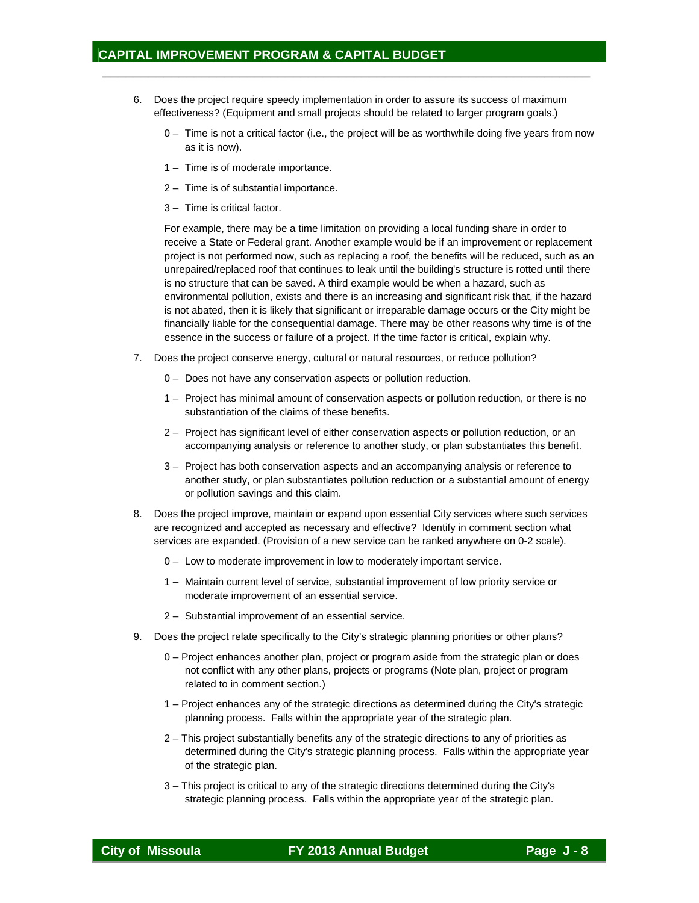6. Does the project require speedy implementation in order to assure its success of maximum effectiveness? (Equipment and small projects should be related to larger program goals.)

 $\frac{1}{2}$  ,  $\frac{1}{2}$  ,  $\frac{1}{2}$  ,  $\frac{1}{2}$  ,  $\frac{1}{2}$  ,  $\frac{1}{2}$  ,  $\frac{1}{2}$  ,  $\frac{1}{2}$  ,  $\frac{1}{2}$  ,  $\frac{1}{2}$  ,  $\frac{1}{2}$  ,  $\frac{1}{2}$  ,  $\frac{1}{2}$  ,  $\frac{1}{2}$  ,  $\frac{1}{2}$  ,  $\frac{1}{2}$  ,  $\frac{1}{2}$  ,  $\frac{1}{2}$  ,  $\frac{1$ 

- 0 Time is not a critical factor (i.e., the project will be as worthwhile doing five years from now as it is now).
- 1 Time is of moderate importance.
- 2 Time is of substantial importance.
- 3 Time is critical factor.

For example, there may be a time limitation on providing a local funding share in order to receive a State or Federal grant. Another example would be if an improvement or replacement project is not performed now, such as replacing a roof, the benefits will be reduced, such as an unrepaired/replaced roof that continues to leak until the building's structure is rotted until there is no structure that can be saved. A third example would be when a hazard, such as environmental pollution, exists and there is an increasing and significant risk that, if the hazard is not abated, then it is likely that significant or irreparable damage occurs or the City might be financially liable for the consequential damage. There may be other reasons why time is of the essence in the success or failure of a project. If the time factor is critical, explain why.

- 7. Does the project conserve energy, cultural or natural resources, or reduce pollution?
	- 0 Does not have any conservation aspects or pollution reduction.
	- 1 Project has minimal amount of conservation aspects or pollution reduction, or there is no substantiation of the claims of these benefits.
	- 2 Project has significant level of either conservation aspects or pollution reduction, or an accompanying analysis or reference to another study, or plan substantiates this benefit.
	- 3 Project has both conservation aspects and an accompanying analysis or reference to another study, or plan substantiates pollution reduction or a substantial amount of energy or pollution savings and this claim.
- 8. Does the project improve, maintain or expand upon essential City services where such services are recognized and accepted as necessary and effective? Identify in comment section what services are expanded. (Provision of a new service can be ranked anywhere on 0-2 scale).
	- 0 Low to moderate improvement in low to moderately important service.
	- 1 Maintain current level of service, substantial improvement of low priority service or moderate improvement of an essential service.
	- 2 Substantial improvement of an essential service.
- 9. Does the project relate specifically to the City's strategic planning priorities or other plans?
	- 0 Project enhances another plan, project or program aside from the strategic plan or does not conflict with any other plans, projects or programs (Note plan, project or program related to in comment section.)
	- 1 Project enhances any of the strategic directions as determined during the City's strategic planning process. Falls within the appropriate year of the strategic plan.
	- 2 This project substantially benefits any of the strategic directions to any of priorities as determined during the City's strategic planning process. Falls within the appropriate year of the strategic plan.
	- 3 This project is critical to any of the strategic directions determined during the City's strategic planning process. Falls within the appropriate year of the strategic plan.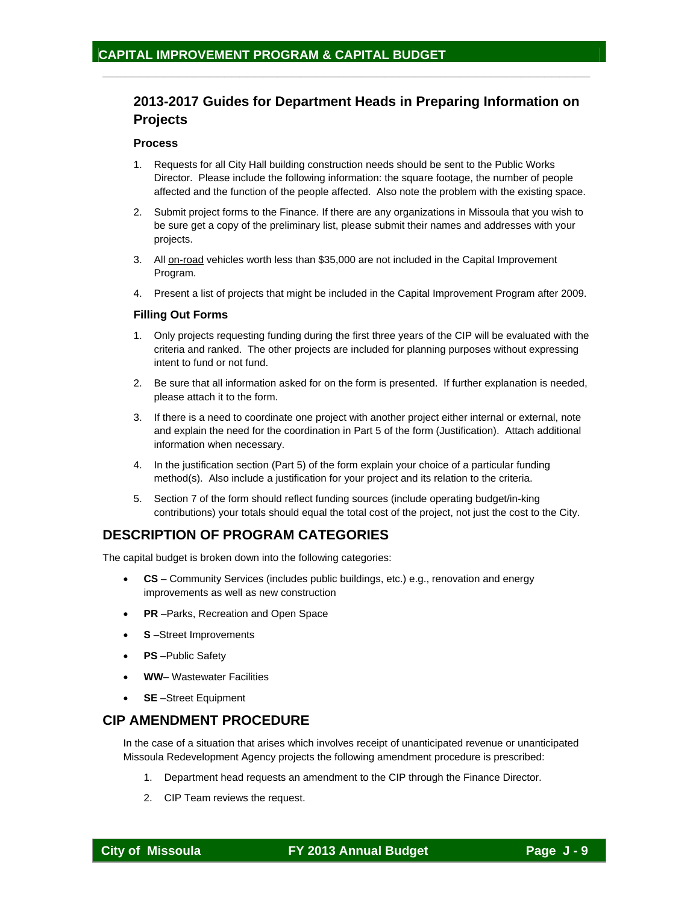# **2013-2017 Guides for Department Heads in Preparing Information on Projects**

 $\frac{1}{2}$  ,  $\frac{1}{2}$  ,  $\frac{1}{2}$  ,  $\frac{1}{2}$  ,  $\frac{1}{2}$  ,  $\frac{1}{2}$  ,  $\frac{1}{2}$  ,  $\frac{1}{2}$  ,  $\frac{1}{2}$  ,  $\frac{1}{2}$  ,  $\frac{1}{2}$  ,  $\frac{1}{2}$  ,  $\frac{1}{2}$  ,  $\frac{1}{2}$  ,  $\frac{1}{2}$  ,  $\frac{1}{2}$  ,  $\frac{1}{2}$  ,  $\frac{1}{2}$  ,  $\frac{1$ 

#### **Process**

- 1. Requests for all City Hall building construction needs should be sent to the Public Works Director. Please include the following information: the square footage, the number of people affected and the function of the people affected. Also note the problem with the existing space.
- 2. Submit project forms to the Finance. If there are any organizations in Missoula that you wish to be sure get a copy of the preliminary list, please submit their names and addresses with your projects.
- 3. All on-road vehicles worth less than \$35,000 are not included in the Capital Improvement Program.
- 4. Present a list of projects that might be included in the Capital Improvement Program after 2009.

#### **Filling Out Forms**

- 1. Only projects requesting funding during the first three years of the CIP will be evaluated with the criteria and ranked. The other projects are included for planning purposes without expressing intent to fund or not fund.
- 2. Be sure that all information asked for on the form is presented. If further explanation is needed, please attach it to the form.
- 3. If there is a need to coordinate one project with another project either internal or external, note and explain the need for the coordination in Part 5 of the form (Justification). Attach additional information when necessary.
- 4. In the justification section (Part 5) of the form explain your choice of a particular funding method(s). Also include a justification for your project and its relation to the criteria.
- 5. Section 7 of the form should reflect funding sources (include operating budget/in-king contributions) your totals should equal the total cost of the project, not just the cost to the City.

# **DESCRIPTION OF PROGRAM CATEGORIES**

The capital budget is broken down into the following categories:

- **CS**  Community Services (includes public buildings, etc.) e.g., renovation and energy improvements as well as new construction
- **PR** –Parks, Recreation and Open Space
- **S** –Street Improvements
- **PS** Public Safety
- **WW** Wastewater Facilities
- **SE** –Street Equipment

## **CIP AMENDMENT PROCEDURE**

In the case of a situation that arises which involves receipt of unanticipated revenue or unanticipated Missoula Redevelopment Agency projects the following amendment procedure is prescribed:

- 1. Department head requests an amendment to the CIP through the Finance Director.
- 2. CIP Team reviews the request.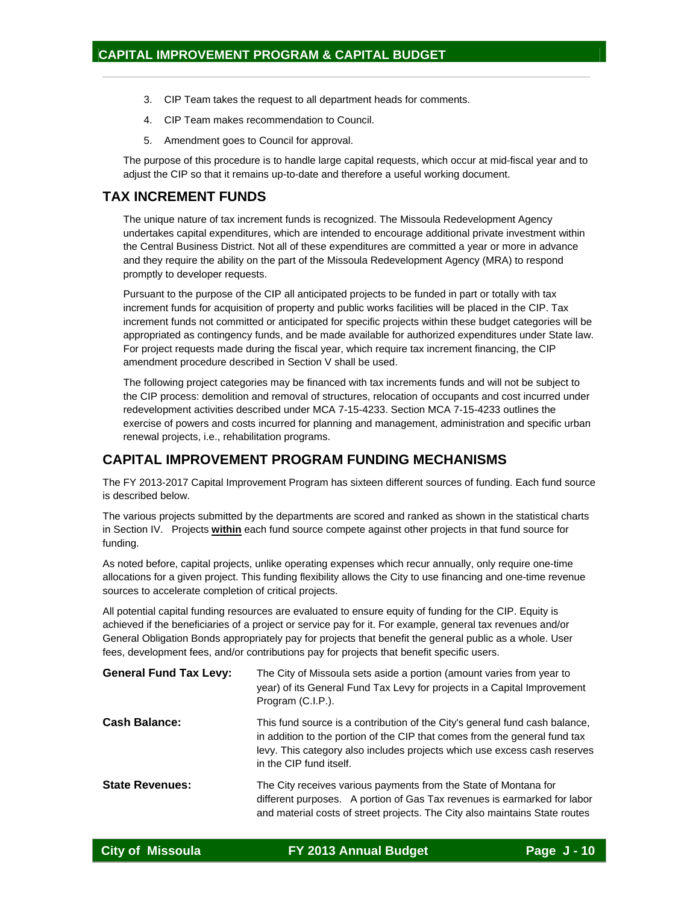- 3. CIP Team takes the request to all department heads for comments.
- 4. CIP Team makes recommendation to Council.
- 5. Amendment goes to Council for approval.

The purpose of this procedure is to handle large capital requests, which occur at mid-fiscal year and to adjust the CIP so that it remains up-to-date and therefore a useful working document.

 $\frac{1}{2}$  ,  $\frac{1}{2}$  ,  $\frac{1}{2}$  ,  $\frac{1}{2}$  ,  $\frac{1}{2}$  ,  $\frac{1}{2}$  ,  $\frac{1}{2}$  ,  $\frac{1}{2}$  ,  $\frac{1}{2}$  ,  $\frac{1}{2}$  ,  $\frac{1}{2}$  ,  $\frac{1}{2}$  ,  $\frac{1}{2}$  ,  $\frac{1}{2}$  ,  $\frac{1}{2}$  ,  $\frac{1}{2}$  ,  $\frac{1}{2}$  ,  $\frac{1}{2}$  ,  $\frac{1$ 

## **TAX INCREMENT FUNDS**

The unique nature of tax increment funds is recognized. The Missoula Redevelopment Agency undertakes capital expenditures, which are intended to encourage additional private investment within the Central Business District. Not all of these expenditures are committed a year or more in advance and they require the ability on the part of the Missoula Redevelopment Agency (MRA) to respond promptly to developer requests.

Pursuant to the purpose of the CIP all anticipated projects to be funded in part or totally with tax increment funds for acquisition of property and public works facilities will be placed in the CIP. Tax increment funds not committed or anticipated for specific projects within these budget categories will be appropriated as contingency funds, and be made available for authorized expenditures under State law. For project requests made during the fiscal year, which require tax increment financing, the CIP amendment procedure described in Section V shall be used.

The following project categories may be financed with tax increments funds and will not be subject to the CIP process: demolition and removal of structures, relocation of occupants and cost incurred under redevelopment activities described under MCA 7-15-4233. Section MCA 7-15-4233 outlines the exercise of powers and costs incurred for planning and management, administration and specific urban renewal projects, i.e., rehabilitation programs.

## **CAPITAL IMPROVEMENT PROGRAM FUNDING MECHANISMS**

The FY 2013-2017 Capital Improvement Program has sixteen different sources of funding. Each fund source is described below.

The various projects submitted by the departments are scored and ranked as shown in the statistical charts in Section IV. Projects **within** each fund source compete against other projects in that fund source for funding.

As noted before, capital projects, unlike operating expenses which recur annually, only require one-time allocations for a given project. This funding flexibility allows the City to use financing and one-time revenue sources to accelerate completion of critical projects.

All potential capital funding resources are evaluated to ensure equity of funding for the CIP. Equity is achieved if the beneficiaries of a project or service pay for it. For example, general tax revenues and/or General Obligation Bonds appropriately pay for projects that benefit the general public as a whole. User fees, development fees, and/or contributions pay for projects that benefit specific users.

| <b>General Fund Tax Levy:</b> | The City of Missoula sets aside a portion (amount varies from year to<br>year) of its General Fund Tax Levy for projects in a Capital Improvement<br>Program (C.I.P.).                                                                                            |
|-------------------------------|-------------------------------------------------------------------------------------------------------------------------------------------------------------------------------------------------------------------------------------------------------------------|
| <b>Cash Balance:</b>          | This fund source is a contribution of the City's general fund cash balance,<br>in addition to the portion of the CIP that comes from the general fund tax<br>levy. This category also includes projects which use excess cash reserves<br>in the CIP fund itself. |
| <b>State Revenues:</b>        | The City receives various payments from the State of Montana for<br>different purposes. A portion of Gas Tax revenues is earmarked for labor<br>and material costs of street projects. The City also maintains State routes                                       |

| <b>City of Missoula</b> | FY 2013 Annual Budget | Page J-10 |
|-------------------------|-----------------------|-----------|
|                         |                       |           |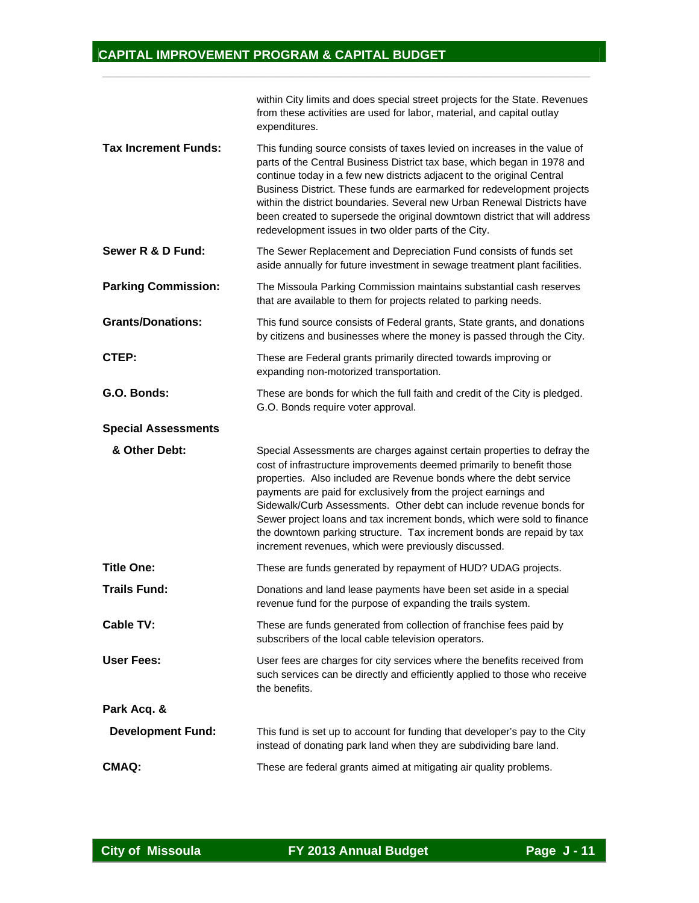|                             | within City limits and does special street projects for the State. Revenues<br>from these activities are used for labor, material, and capital outlay<br>expenditures.                                                                                                                                                                                                                                                                                                                                                                                                        |
|-----------------------------|-------------------------------------------------------------------------------------------------------------------------------------------------------------------------------------------------------------------------------------------------------------------------------------------------------------------------------------------------------------------------------------------------------------------------------------------------------------------------------------------------------------------------------------------------------------------------------|
| <b>Tax Increment Funds:</b> | This funding source consists of taxes levied on increases in the value of<br>parts of the Central Business District tax base, which began in 1978 and<br>continue today in a few new districts adjacent to the original Central<br>Business District. These funds are earmarked for redevelopment projects<br>within the district boundaries. Several new Urban Renewal Districts have<br>been created to supersede the original downtown district that will address<br>redevelopment issues in two older parts of the City.                                                  |
| Sewer R & D Fund:           | The Sewer Replacement and Depreciation Fund consists of funds set<br>aside annually for future investment in sewage treatment plant facilities.                                                                                                                                                                                                                                                                                                                                                                                                                               |
| <b>Parking Commission:</b>  | The Missoula Parking Commission maintains substantial cash reserves<br>that are available to them for projects related to parking needs.                                                                                                                                                                                                                                                                                                                                                                                                                                      |
| <b>Grants/Donations:</b>    | This fund source consists of Federal grants, State grants, and donations<br>by citizens and businesses where the money is passed through the City.                                                                                                                                                                                                                                                                                                                                                                                                                            |
| CTEP:                       | These are Federal grants primarily directed towards improving or<br>expanding non-motorized transportation.                                                                                                                                                                                                                                                                                                                                                                                                                                                                   |
| G.O. Bonds:                 | These are bonds for which the full faith and credit of the City is pledged.<br>G.O. Bonds require voter approval.                                                                                                                                                                                                                                                                                                                                                                                                                                                             |
| <b>Special Assessments</b>  |                                                                                                                                                                                                                                                                                                                                                                                                                                                                                                                                                                               |
| & Other Debt:               | Special Assessments are charges against certain properties to defray the<br>cost of infrastructure improvements deemed primarily to benefit those<br>properties. Also included are Revenue bonds where the debt service<br>payments are paid for exclusively from the project earnings and<br>Sidewalk/Curb Assessments. Other debt can include revenue bonds for<br>Sewer project loans and tax increment bonds, which were sold to finance<br>the downtown parking structure. Tax increment bonds are repaid by tax<br>increment revenues, which were previously discussed. |
| <b>Title One:</b>           | These are funds generated by repayment of HUD? UDAG projects.                                                                                                                                                                                                                                                                                                                                                                                                                                                                                                                 |
| <b>Trails Fund:</b>         | Donations and land lease payments have been set aside in a special<br>revenue fund for the purpose of expanding the trails system.                                                                                                                                                                                                                                                                                                                                                                                                                                            |
| <b>Cable TV:</b>            | These are funds generated from collection of franchise fees paid by<br>subscribers of the local cable television operators.                                                                                                                                                                                                                                                                                                                                                                                                                                                   |
| <b>User Fees:</b>           | User fees are charges for city services where the benefits received from<br>such services can be directly and efficiently applied to those who receive<br>the benefits.                                                                                                                                                                                                                                                                                                                                                                                                       |
|                             |                                                                                                                                                                                                                                                                                                                                                                                                                                                                                                                                                                               |
| Park Acq. &                 |                                                                                                                                                                                                                                                                                                                                                                                                                                                                                                                                                                               |
| <b>Development Fund:</b>    | This fund is set up to account for funding that developer's pay to the City<br>instead of donating park land when they are subdividing bare land.                                                                                                                                                                                                                                                                                                                                                                                                                             |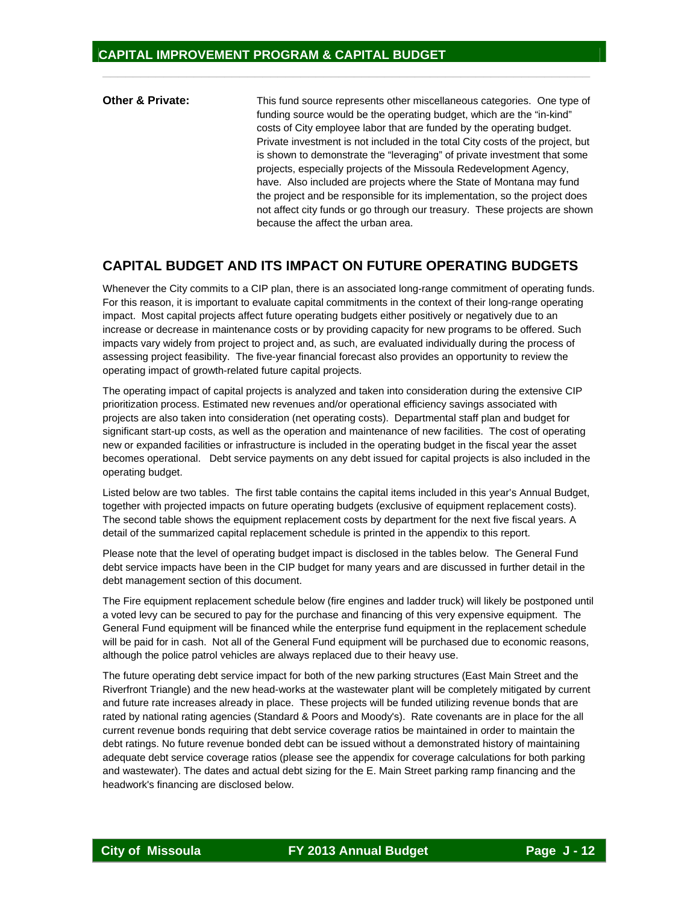**Other & Private:** This fund source represents other miscellaneous categories. One type of funding source would be the operating budget, which are the "in-kind" costs of City employee labor that are funded by the operating budget. Private investment is not included in the total City costs of the project, but is shown to demonstrate the "leveraging" of private investment that some projects, especially projects of the Missoula Redevelopment Agency, have. Also included are projects where the State of Montana may fund the project and be responsible for its implementation, so the project does not affect city funds or go through our treasury. These projects are shown because the affect the urban area.

 $\frac{1}{2}$  ,  $\frac{1}{2}$  ,  $\frac{1}{2}$  ,  $\frac{1}{2}$  ,  $\frac{1}{2}$  ,  $\frac{1}{2}$  ,  $\frac{1}{2}$  ,  $\frac{1}{2}$  ,  $\frac{1}{2}$  ,  $\frac{1}{2}$  ,  $\frac{1}{2}$  ,  $\frac{1}{2}$  ,  $\frac{1}{2}$  ,  $\frac{1}{2}$  ,  $\frac{1}{2}$  ,  $\frac{1}{2}$  ,  $\frac{1}{2}$  ,  $\frac{1}{2}$  ,  $\frac{1$ 

## **CAPITAL BUDGET AND ITS IMPACT ON FUTURE OPERATING BUDGETS**

Whenever the City commits to a CIP plan, there is an associated long-range commitment of operating funds. For this reason, it is important to evaluate capital commitments in the context of their long-range operating impact. Most capital projects affect future operating budgets either positively or negatively due to an increase or decrease in maintenance costs or by providing capacity for new programs to be offered. Such impacts vary widely from project to project and, as such, are evaluated individually during the process of assessing project feasibility. The five-year financial forecast also provides an opportunity to review the operating impact of growth-related future capital projects.

The operating impact of capital projects is analyzed and taken into consideration during the extensive CIP prioritization process. Estimated new revenues and/or operational efficiency savings associated with projects are also taken into consideration (net operating costs). Departmental staff plan and budget for significant start-up costs, as well as the operation and maintenance of new facilities. The cost of operating new or expanded facilities or infrastructure is included in the operating budget in the fiscal year the asset becomes operational. Debt service payments on any debt issued for capital projects is also included in the operating budget.

Listed below are two tables. The first table contains the capital items included in this year's Annual Budget, together with projected impacts on future operating budgets (exclusive of equipment replacement costs). The second table shows the equipment replacement costs by department for the next five fiscal years. A detail of the summarized capital replacement schedule is printed in the appendix to this report.

Please note that the level of operating budget impact is disclosed in the tables below. The General Fund debt service impacts have been in the CIP budget for many years and are discussed in further detail in the debt management section of this document.

The Fire equipment replacement schedule below (fire engines and ladder truck) will likely be postponed until a voted levy can be secured to pay for the purchase and financing of this very expensive equipment. The General Fund equipment will be financed while the enterprise fund equipment in the replacement schedule will be paid for in cash. Not all of the General Fund equipment will be purchased due to economic reasons, although the police patrol vehicles are always replaced due to their heavy use.

The future operating debt service impact for both of the new parking structures (East Main Street and the Riverfront Triangle) and the new head-works at the wastewater plant will be completely mitigated by current and future rate increases already in place. These projects will be funded utilizing revenue bonds that are rated by national rating agencies (Standard & Poors and Moody's). Rate covenants are in place for the all current revenue bonds requiring that debt service coverage ratios be maintained in order to maintain the debt ratings. No future revenue bonded debt can be issued without a demonstrated history of maintaining adequate debt service coverage ratios (please see the appendix for coverage calculations for both parking and wastewater). The dates and actual debt sizing for the E. Main Street parking ramp financing and the headwork's financing are disclosed below.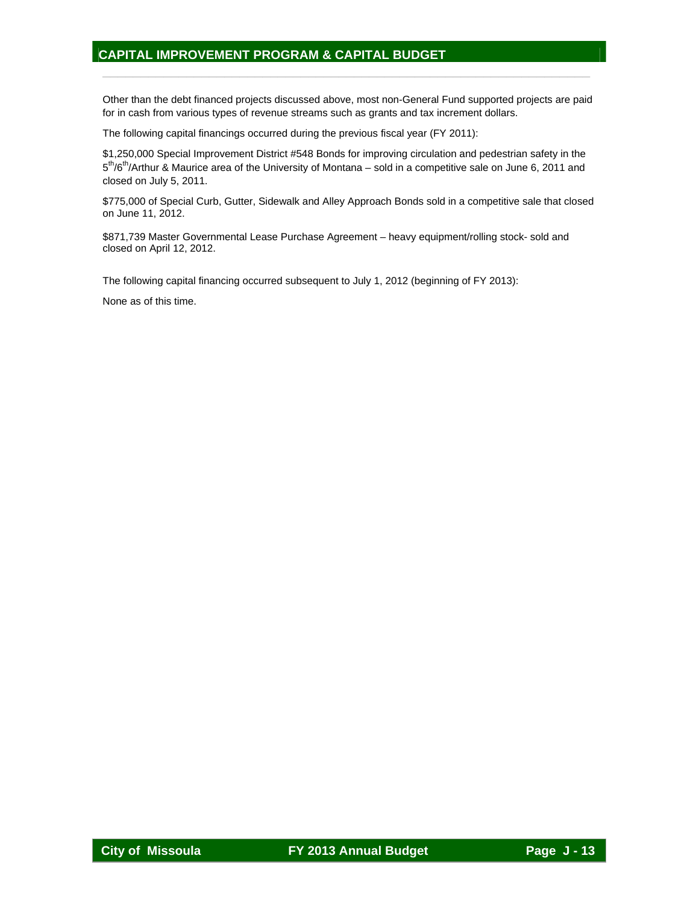Other than the debt financed projects discussed above, most non-General Fund supported projects are paid for in cash from various types of revenue streams such as grants and tax increment dollars.

 $\frac{1}{2}$  ,  $\frac{1}{2}$  ,  $\frac{1}{2}$  ,  $\frac{1}{2}$  ,  $\frac{1}{2}$  ,  $\frac{1}{2}$  ,  $\frac{1}{2}$  ,  $\frac{1}{2}$  ,  $\frac{1}{2}$  ,  $\frac{1}{2}$  ,  $\frac{1}{2}$  ,  $\frac{1}{2}$  ,  $\frac{1}{2}$  ,  $\frac{1}{2}$  ,  $\frac{1}{2}$  ,  $\frac{1}{2}$  ,  $\frac{1}{2}$  ,  $\frac{1}{2}$  ,  $\frac{1$ 

The following capital financings occurred during the previous fiscal year (FY 2011):

\$1,250,000 Special Improvement District #548 Bonds for improving circulation and pedestrian safety in the 5<sup>th</sup>/6<sup>th</sup>/Arthur & Maurice area of the University of Montana – sold in a competitive sale on June 6, 2011 and closed on July 5, 2011.

\$775,000 of Special Curb, Gutter, Sidewalk and Alley Approach Bonds sold in a competitive sale that closed on June 11, 2012.

\$871,739 Master Governmental Lease Purchase Agreement – heavy equipment/rolling stock- sold and closed on April 12, 2012.

The following capital financing occurred subsequent to July 1, 2012 (beginning of FY 2013):

None as of this time.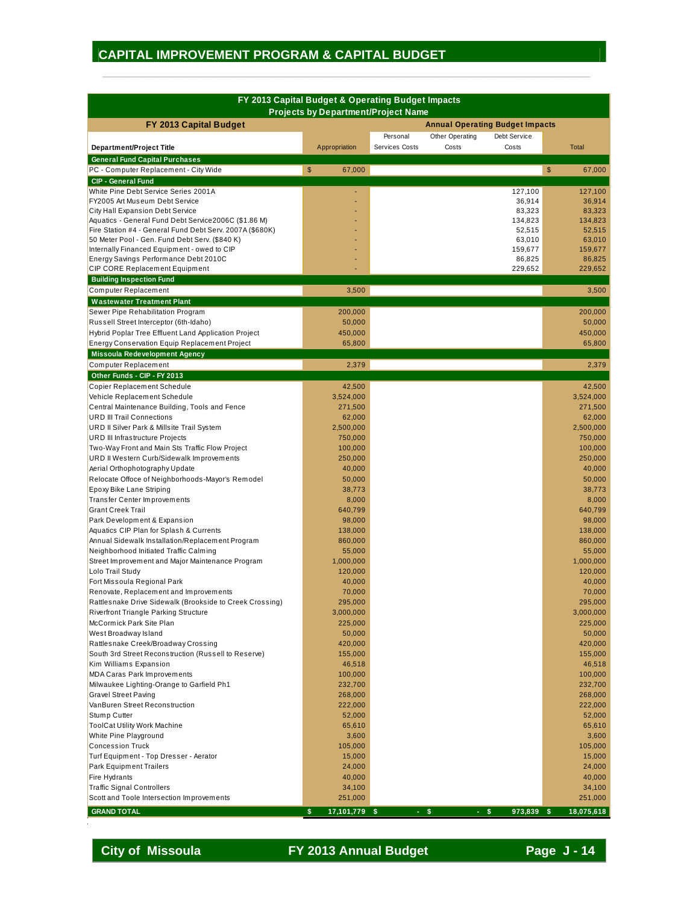|                                                                                                |                                            | FY 2013 Capital Budget & Operating Budget Impacts |                     |
|------------------------------------------------------------------------------------------------|--------------------------------------------|---------------------------------------------------|---------------------|
| FY 2013 Capital Budget                                                                         | <b>Projects by Department/Project Name</b> | <b>Annual Operating Budget Impacts</b>            |                     |
|                                                                                                |                                            | Personal<br>Other Operating<br>Debt Service       |                     |
| <b>Department/Project Title</b>                                                                | Appropriation                              | Services Costs<br>Costs<br>Costs                  | <b>Total</b>        |
| <b>General Fund Capital Purchases</b>                                                          |                                            |                                                   |                     |
| PC - Computer Replacement - City Wide                                                          | \$<br>67,000                               |                                                   | \$<br>67.000        |
| <b>CIP - General Fund</b>                                                                      |                                            |                                                   |                     |
| White Pine Debt Service Series 2001A                                                           |                                            | 127,100                                           | 127,100             |
| FY2005 Art Museum Debt Service                                                                 |                                            | 36,914                                            | 36,914              |
| City Hall Expansion Debt Service                                                               |                                            | 83,323                                            | 83,323              |
| Aquatics - General Fund Debt Service2006C (\$1.86 M)                                           |                                            | 134,823                                           | 134,823             |
| Fire Station #4 - General Fund Debt Serv. 2007A (\$680K)                                       |                                            | 52,515                                            | 52,515              |
| 50 Meter Pool - Gen. Fund Debt Serv. (\$840 K)                                                 |                                            | 63,010                                            | 63,010              |
| Internally Financed Equipment - owed to CIP                                                    |                                            | 159,677                                           | 159,677             |
| Energy Savings Performance Debt 2010C<br>CIP CORE Replacement Equipment                        |                                            | 86,825<br>229,652                                 | 86,825<br>229,652   |
| <b>Building Inspection Fund</b>                                                                |                                            |                                                   |                     |
| Computer Replacement                                                                           | 3,500                                      |                                                   | 3,500               |
|                                                                                                |                                            |                                                   |                     |
| <b>Wastewater Treatment Plant</b>                                                              |                                            |                                                   |                     |
| Sewer Pipe Rehabilitation Program                                                              | 200,000                                    |                                                   | 200,000<br>50.000   |
| Russell Street Interceptor (6th-Idaho)<br>Hybrid Poplar Tree Effluent Land Application Project | 50,000<br>450,000                          |                                                   | 450,000             |
| Energy Conservation Equip Replacement Project                                                  | 65,800                                     |                                                   | 65,800              |
|                                                                                                |                                            |                                                   |                     |
| <b>Missoula Redevelopment Agency</b><br>Computer Replacement                                   | 2,379                                      |                                                   | 2,379               |
| Other Funds - CIP - FY 2013                                                                    |                                            |                                                   |                     |
|                                                                                                |                                            |                                                   |                     |
| Copier Replacement Schedule<br>Vehicle Replacement Schedule                                    | 42,500<br>3,524,000                        |                                                   | 42,500<br>3,524,000 |
| Central Maintenance Building, Tools and Fence                                                  | 271,500                                    |                                                   | 271,500             |
| <b>URD III Trail Connections</b>                                                               | 62,000                                     |                                                   | 62,000              |
| URD II Silver Park & Millsite Trail System                                                     | 2,500,000                                  |                                                   | 2,500,000           |
| URD III Infrastructure Projects                                                                | 750,000                                    |                                                   | 750,000             |
| Two-Way Front and Main Sts Traffic Flow Project                                                | 100,000                                    |                                                   | 100,000             |
| URD II Western Curb/Sidewalk Improvements                                                      | 250,000                                    |                                                   | 250,000             |
| Aerial Orthophotography Update                                                                 | 40,000                                     |                                                   | 40,000              |
| Relocate Offoce of Neighborhoods-Mayor's Remodel                                               | 50,000                                     |                                                   | 50,000              |
| Epoxy Bike Lane Striping                                                                       | 38,773                                     |                                                   | 38,773              |
| Transfer Center Improvements                                                                   | 8,000                                      |                                                   | 8,000               |
| <b>Grant Creek Trail</b>                                                                       | 640,799                                    |                                                   | 640,799             |
| Park Development & Expansion                                                                   | 98,000                                     |                                                   | 98,000              |
| Aquatics CIP Plan for Splash & Currents                                                        | 138,000                                    |                                                   | 138,000             |
| Annual Sidewalk Installation/Replacement Program                                               | 860,000                                    |                                                   | 860,000             |
| Neighborhood Initiated Traffic Calming                                                         | 55,000                                     |                                                   | 55,000              |
| Street Improvement and Major Maintenance Program                                               | 1,000,000                                  |                                                   | 1,000,000           |
| Lolo Trail Study                                                                               | 120,000                                    |                                                   | 120,000             |
| Fort Missoula Regional Park                                                                    | 40,000                                     |                                                   | 40,000              |
| Renovate, Replacement and Improvements                                                         | 70,000                                     |                                                   | 70,000              |
| Rattlesnake Drive Sidewalk (Brookside to Creek Crossing)                                       | 295,000                                    |                                                   | 295,000             |
| Riverfront Triangle Parking Structure                                                          | 3,000,000                                  |                                                   | 3,000,000           |
| McCormick Park Site Plan                                                                       | 225,000                                    |                                                   | 225,000             |
| West Broadway Island                                                                           | 50,000                                     |                                                   | 50,000              |
| Rattlesnake Creek/Broadway Crossing                                                            | 420,000                                    |                                                   | 420,000             |
| South 3rd Street Reconstruction (Russell to Reserve)                                           | 155,000                                    |                                                   | 155,000             |
| Kim Williams Expansion                                                                         | 46,518                                     |                                                   | 46,518              |
| <b>MDA Caras Park Improvements</b>                                                             | 100,000                                    |                                                   | 100,000             |
| Milwaukee Lighting-Orange to Garfield Ph1                                                      | 232,700                                    |                                                   | 232,700             |
| <b>Gravel Street Paving</b>                                                                    | 268,000                                    |                                                   | 268,000             |
| VanBuren Street Reconstruction                                                                 | 222,000                                    |                                                   | 222,000             |
| Stump Cutter                                                                                   | 52,000                                     |                                                   | 52,000              |
| <b>ToolCat Utility Work Machine</b>                                                            | 65,610                                     |                                                   | 65,610              |
| White Pine Playground                                                                          | 3,600                                      |                                                   | 3,600               |
| <b>Concession Truck</b>                                                                        | 105,000                                    |                                                   | 105,000             |
| Turf Equipment - Top Dresser - Aerator                                                         | 15,000                                     |                                                   | 15,000              |
| Park Equipment Trailers                                                                        | 24,000                                     |                                                   | 24,000              |
| Fire Hydrants                                                                                  | 40,000                                     |                                                   | 40,000              |
| <b>Traffic Signal Controllers</b>                                                              | 34,100                                     |                                                   | 34,100              |
| Scott and Toole Intersection Improvements                                                      | 251,000                                    |                                                   | 251,000             |
| <b>GRAND TOTAL</b>                                                                             | \$<br>17,101,779 \$                        | $-$ \$<br>$-5$<br>973,839 \$                      | 18,075,618          |

 $\frac{1}{2}$  ,  $\frac{1}{2}$  ,  $\frac{1}{2}$  ,  $\frac{1}{2}$  ,  $\frac{1}{2}$  ,  $\frac{1}{2}$  ,  $\frac{1}{2}$  ,  $\frac{1}{2}$  ,  $\frac{1}{2}$  ,  $\frac{1}{2}$  ,  $\frac{1}{2}$  ,  $\frac{1}{2}$  ,  $\frac{1}{2}$  ,  $\frac{1}{2}$  ,  $\frac{1}{2}$  ,  $\frac{1}{2}$  ,  $\frac{1}{2}$  ,  $\frac{1}{2}$  ,  $\frac{1$ 

**City of Missoula FY 2013 Annual Budget Page J-14**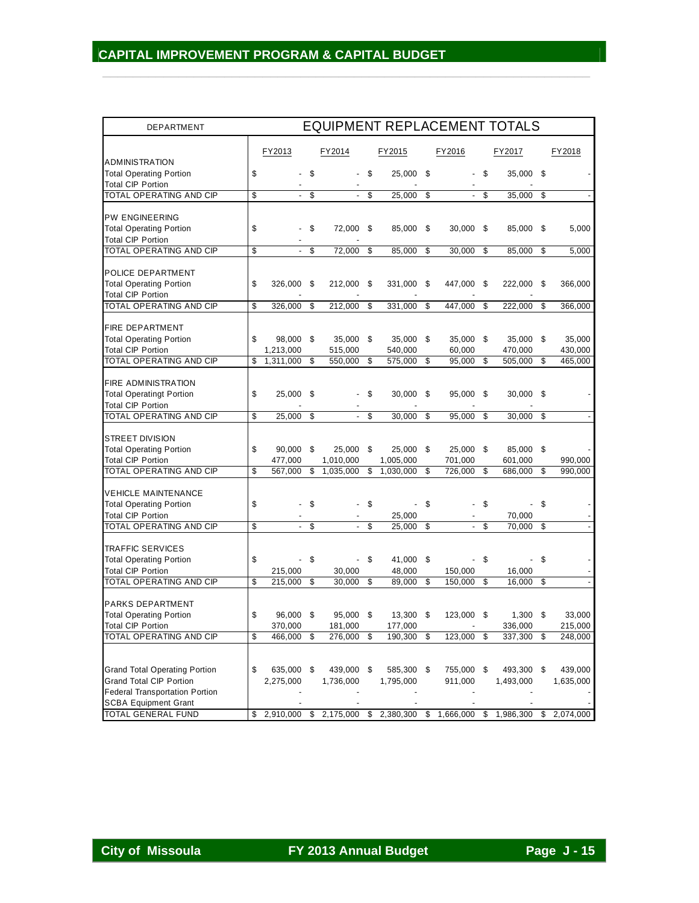| DEPARTMENT                                          |        |                     |                      |            |     |            |                           |        | <b>EQUIPMENT REPLACEMENT TOTALS</b>                                        |      |           |
|-----------------------------------------------------|--------|---------------------|----------------------|------------|-----|------------|---------------------------|--------|----------------------------------------------------------------------------|------|-----------|
|                                                     | FY2013 |                     |                      | FY2014     |     | FY2015     | FY2016                    |        | FY2017                                                                     |      | FY2018    |
| <b>ADMINISTRATION</b>                               |        |                     |                      |            |     |            |                           |        |                                                                            |      |           |
| <b>Total Operating Portion</b>                      | \$     |                     | \$                   |            | \$  | 25,000 \$  | $\sim$                    | \$     | 35,000 \$                                                                  |      |           |
| <b>Total CIP Portion</b><br>TOTAL OPERATING AND CIP | \$     |                     | $\frac{1}{\sqrt{2}}$ | $\sim$     | \$  | 25,000     | \$<br>$\mathcal{L}^{\pm}$ | \$     | 35,000                                                                     | -\$  |           |
|                                                     |        |                     |                      |            |     |            |                           |        |                                                                            |      |           |
| <b>PW ENGINEERING</b>                               |        |                     |                      |            |     |            |                           |        |                                                                            |      |           |
| <b>Total Operating Portion</b>                      | \$     |                     | \$                   | 72,000 \$  |     | 85,000     | \$<br>$30,000$ \$         |        | 85,000                                                                     | \$   | 5,000     |
| <b>Total CIP Portion</b>                            |        |                     |                      |            |     |            |                           |        |                                                                            |      |           |
| TOTAL OPERATING AND CIP                             | \$     | $\mathcal{L}^{\pm}$ | \$                   | 72,000     | \$  | 85,000     | \$<br>30,000              | \$     | 85,000                                                                     | \$   | 5,000     |
|                                                     |        |                     |                      |            |     |            |                           |        |                                                                            |      |           |
| POLICE DEPARTMENT                                   |        |                     |                      |            |     |            |                           |        |                                                                            |      |           |
| <b>Total Operating Portion</b>                      | \$     | 326,000             | -\$                  | 212,000    | \$  | 331,000    | \$<br>447,000             | - \$   | 222,000                                                                    | - \$ | 366,000   |
| <b>Total CIP Portion</b>                            |        |                     |                      |            |     |            |                           |        |                                                                            |      |           |
| TOTAL OPERATING AND CIP                             | \$     | 326,000             | \$                   | 212,000    | \$  | 331,000    | \$<br>447,000             | \$     | 222,000                                                                    | \$   | 366,000   |
|                                                     |        |                     |                      |            |     |            |                           |        |                                                                            |      |           |
| <b>FIRE DEPARTMENT</b>                              |        |                     |                      |            |     |            |                           |        |                                                                            |      |           |
| <b>Total Operating Portion</b>                      | \$     | 98,000 \$           |                      | 35,000     | \$  | 35,000     | \$<br>35,000              | \$     | 35,000                                                                     | \$   | 35,000    |
| <b>Total CIP Portion</b>                            |        | 1,213,000           |                      | 515,000    |     | 540,000    | 60,000                    |        | 470,000                                                                    |      | 430,000   |
| TOTAL OPERATING AND CIP                             | \$     | 1,311,000           | \$                   | 550,000    | \$  | 575,000    | \$<br>95,000              | \$     | 505,000                                                                    | \$   | 465,000   |
|                                                     |        |                     |                      |            |     |            |                           |        |                                                                            |      |           |
| <b>FIRE ADMINISTRATION</b>                          |        |                     |                      |            |     |            |                           |        |                                                                            |      |           |
| <b>Total Operatingt Portion</b>                     | \$     | 25,000 \$           |                      |            | \$  | 30,000     | \$<br>95,000 \$           |        | $30,000$ \$                                                                |      |           |
| <b>Total CIP Portion</b>                            |        |                     |                      |            |     |            |                           |        |                                                                            |      |           |
| TOTAL OPERATING AND CIP                             | \$     | 25,000              | \$                   |            | \$  | 30,000     | \$<br>95,000              | \$     | 30,000                                                                     | \$   |           |
| <b>STREET DIVISION</b>                              |        |                     |                      |            |     |            |                           |        |                                                                            |      |           |
| <b>Total Operating Portion</b>                      | \$     | 90,000              | - \$                 | 25,000     | -\$ | 25,000     | \$<br>25,000              | \$     | 85,000 \$                                                                  |      |           |
| <b>Total CIP Portion</b>                            |        | 477,000             |                      | 1,010,000  |     | 1,005,000  | 701,000                   |        | 601,000                                                                    |      | 990,000   |
| TOTAL OPERATING AND CIP                             | \$     | 567,000             | \$                   | 1,035,000  | \$  | 1,030,000  | \$<br>726,000             | \$     | 686,000                                                                    | \$   | 990,000   |
|                                                     |        |                     |                      |            |     |            |                           |        |                                                                            |      |           |
| <b>VEHICLE MAINTENANCE</b>                          |        |                     |                      |            |     |            |                           |        |                                                                            |      |           |
| <b>Total Operating Portion</b>                      | \$     |                     | \$                   |            | \$  |            | \$                        | \$     |                                                                            | \$   |           |
| <b>Total CIP Portion</b>                            |        |                     |                      |            |     | 25,000     | $\sim$                    |        | 70,000                                                                     |      |           |
| TOTAL OPERATING AND CIP                             | \$     | $\blacksquare$      | \$                   |            | \$  | 25,000     | \$<br>$\blacksquare$      | \$     | 70,000                                                                     | \$   |           |
|                                                     |        |                     |                      |            |     |            |                           |        |                                                                            |      |           |
| <b>TRAFFIC SERVICES</b>                             |        |                     |                      |            |     |            |                           |        |                                                                            |      |           |
| <b>Total Operating Portion</b>                      | \$     |                     | $\sqrt{3}$           |            | \$  | 41,000 \$  |                           | $-$ \$ |                                                                            | \$   |           |
| <b>Total CIP Portion</b>                            |        | 215,000             |                      | 30.000     |     | 48,000     | 150,000                   |        | 16,000                                                                     |      |           |
| TOTAL OPERATING AND CIP                             | \$     | 215,000             | -\$                  | 30,000     | \$  | 89,000     | \$<br>150,000             | \$     | 16,000                                                                     | \$   |           |
|                                                     |        |                     |                      |            |     |            |                           |        |                                                                            |      |           |
| <b>PARKS DEPARTMENT</b>                             |        |                     |                      |            |     |            |                           |        |                                                                            |      |           |
| <b>Total Operating Portion</b>                      | \$     | 96,000 \$           |                      | 95,000 \$  |     | 13,300 \$  | 123,000 \$                |        | $1,300$ \$                                                                 |      | 33,000    |
| <b>Total CIP Portion</b>                            |        | 370,000             |                      | 181,000    |     | 177,000    |                           |        | 336,000                                                                    |      | 215,000   |
| TOTAL OPERATING AND CIP                             | \$     | $466,000$ \$        |                      | 276,000 \$ |     | 190,300    | \$<br>123,000             | \$     | 337,300                                                                    | \$   | 248,000   |
|                                                     |        |                     |                      |            |     |            |                           |        |                                                                            |      |           |
| <b>Grand Total Operating Portion</b>                | \$     | 635,000 \$          |                      | 439,000 \$ |     | 585,300 \$ | 755,000 \$                |        | 493,300 \$                                                                 |      | 439,000   |
| <b>Grand Total CIP Portion</b>                      |        | 2,275,000           |                      | 1,736,000  |     | 1,795,000  | 911,000                   |        | 1,493,000                                                                  |      | 1,635,000 |
| <b>Federal Transportation Portion</b>               |        |                     |                      |            |     |            |                           |        |                                                                            |      |           |
| <b>SCBA Equipment Grant</b>                         |        |                     |                      |            |     |            |                           |        |                                                                            |      |           |
| <b>TOTAL GENERAL FUND</b>                           | \$     |                     |                      |            |     |            |                           |        | 2,910,000 \$ 2,175,000 \$ 2,380,300 \$ 1,666,000 \$ 1,986,300 \$ 2,074,000 |      |           |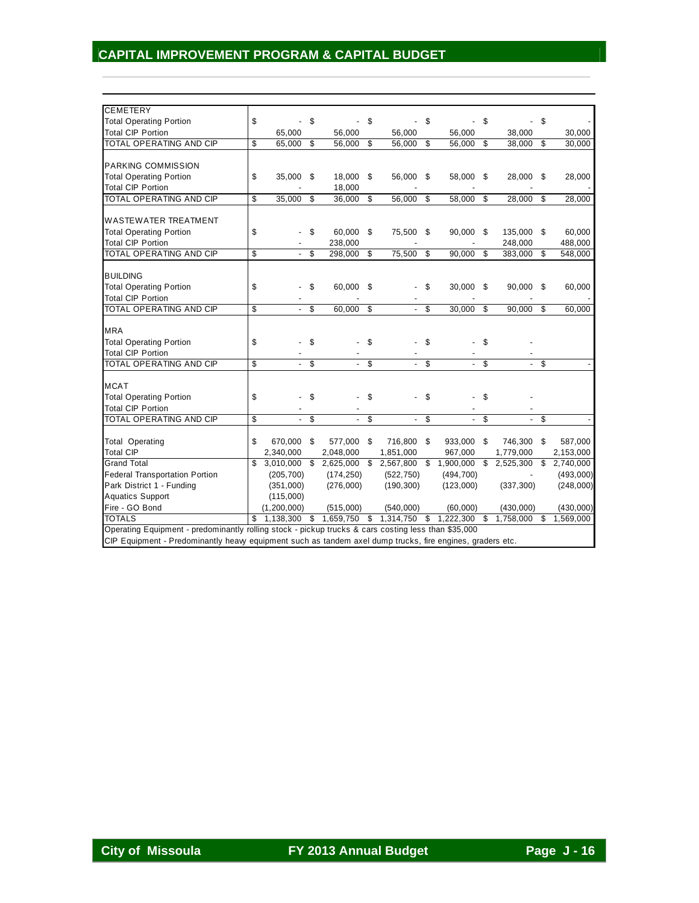| <b>CEMETERY</b>                                                                                     |                 |    |                                     |              |                          |    |                          |                          |            |     |           |
|-----------------------------------------------------------------------------------------------------|-----------------|----|-------------------------------------|--------------|--------------------------|----|--------------------------|--------------------------|------------|-----|-----------|
| <b>Total Operating Portion</b>                                                                      | \$              | \$ |                                     | \$           |                          | \$ |                          | \$                       |            | S   |           |
| <b>Total CIP Portion</b>                                                                            | 65,000          |    | 56,000                              |              | 56,000                   |    | 56,000                   |                          | 38,000     |     | 30,000    |
| <b>TOTAL OPERATING AND CIP</b>                                                                      | \$<br>65,000 \$ |    | 56,000                              | \$           | 56,000                   | \$ | 56,000                   | \$                       | 38,000     | \$  | 30,000    |
|                                                                                                     |                 |    |                                     |              |                          |    |                          |                          |            |     |           |
| <b>PARKING COMMISSION</b>                                                                           |                 |    |                                     |              |                          |    |                          |                          |            |     |           |
| <b>Total Operating Portion</b>                                                                      | \$<br>35,000    | \$ | 18,000                              | \$           | 56,000                   | \$ | 58,000                   | \$                       | 28,000     | -\$ | 28,000    |
| <b>Total CIP Portion</b>                                                                            |                 |    | 18,000                              |              |                          |    |                          |                          |            |     |           |
| TOTAL OPERATING AND CIP                                                                             | \$<br>35,000    | \$ | 36,000                              | \$           | 56,000                   | \$ | 58,000                   | $\overline{\mathcal{S}}$ | 28,000     | \$  | 28,000    |
|                                                                                                     |                 |    |                                     |              |                          |    |                          |                          |            |     |           |
| <b>WASTEWATER TREATMENT</b>                                                                         |                 |    |                                     |              |                          |    |                          |                          |            |     |           |
| <b>Total Operating Portion</b>                                                                      | \$              | \$ | 60,000                              | \$           | 75,500                   | \$ | 90,000 \$                |                          | 135,000 \$ |     | 60,000    |
| <b>Total CIP Portion</b>                                                                            |                 |    | 238,000                             |              |                          |    |                          |                          | 248,000    |     | 488,000   |
| TOTAL OPERATING AND CIP                                                                             | \$              | \$ | 298,000                             | \$           | 75,500                   | \$ | 90,000                   | \$                       | 383,000    | \$  | 548,000   |
|                                                                                                     |                 |    |                                     |              |                          |    |                          |                          |            |     |           |
| <b>BUILDING</b>                                                                                     |                 |    |                                     |              |                          |    |                          |                          |            |     |           |
| <b>Total Operating Portion</b>                                                                      | \$              | \$ | 60,000 \$                           |              |                          | \$ | 30,000                   | - \$                     | 90,000     | -\$ | 60,000    |
| <b>Total CIP Portion</b>                                                                            |                 |    |                                     |              |                          |    |                          |                          |            |     |           |
| TOTAL OPERATING AND CIP                                                                             | \$<br>÷.        | \$ | 60,000                              | \$           | $\overline{\phantom{0}}$ | \$ | 30,000                   | \$                       | 90,000     | \$  | 60,000    |
|                                                                                                     |                 |    |                                     |              |                          |    |                          |                          |            |     |           |
| <b>MRA</b>                                                                                          |                 |    |                                     |              |                          |    |                          |                          |            |     |           |
| <b>Total Operating Portion</b>                                                                      | \$              | \$ |                                     | \$           |                          | \$ |                          | \$                       |            |     |           |
| <b>Total CIP Portion</b>                                                                            |                 |    |                                     |              |                          |    |                          |                          |            |     |           |
| <b>TOTAL OPERATING AND CIP</b>                                                                      | \$              | \$ |                                     | \$           |                          | \$ |                          | \$                       |            | \$  |           |
| <b>MCAT</b>                                                                                         |                 |    |                                     |              |                          |    |                          |                          |            |     |           |
|                                                                                                     |                 |    |                                     |              |                          |    |                          |                          |            |     |           |
| <b>Total Operating Portion</b>                                                                      | \$              | \$ |                                     | \$           |                          | \$ |                          | \$                       |            |     |           |
| <b>Total CIP Portion</b>                                                                            |                 |    |                                     |              |                          |    |                          |                          |            |     |           |
| TOTAL OPERATING AND CIP                                                                             | \$              | \$ |                                     | \$           | $\overline{\phantom{0}}$ | \$ | $\overline{\phantom{0}}$ | \$                       |            | \$  |           |
| <b>Total Operating</b>                                                                              | \$<br>670,000   | \$ | 577,000                             | \$           | 716,800                  | \$ | 933,000                  | \$                       | 746,300    | \$  | 587,000   |
| <b>Total CIP</b>                                                                                    | 2,340,000       |    | 2,048,000                           |              | 1,851,000                |    | 967,000                  |                          | 1,779,000  |     | 2,153,000 |
| <b>Grand Total</b>                                                                                  | \$              |    | 3,010,000 \$ 2,625,000 \$ 2,567,800 |              |                          | S. | 1,900,000                | \$                       | 2,525,300  | \$  | 2,740,000 |
| <b>Federal Transportation Portion</b>                                                               | (205, 700)      |    | (174, 250)                          |              | (522, 750)               |    | (494, 700)               |                          |            |     | (493,000) |
| Park District 1 - Funding                                                                           | (351,000)       |    | (276,000)                           |              | (190, 300)               |    | (123,000)                |                          | (337, 300) |     | (248,000) |
| <b>Aquatics Support</b>                                                                             | (115,000)       |    |                                     |              |                          |    |                          |                          |            |     |           |
| Fire - GO Bond                                                                                      | (1, 200, 000)   |    | (515,000)                           |              | (540,000)                |    | (60,000)                 |                          | (430,000)  |     | (430,000) |
| <b>TOTALS</b>                                                                                       | \$<br>1.138.300 | s, | 1,659,750                           | $\mathbf{s}$ | 1,314,750                | s, | 1.222.300                | s,                       | 1,758,000  | \$  | 1,569,000 |
| Operating Equipment - predominantly rolling stock - pickup trucks & cars costing less than \$35,000 |                 |    |                                     |              |                          |    |                          |                          |            |     |           |
|                                                                                                     |                 |    |                                     |              |                          |    |                          |                          |            |     |           |

 $\frac{1}{2}$  ,  $\frac{1}{2}$  ,  $\frac{1}{2}$  ,  $\frac{1}{2}$  ,  $\frac{1}{2}$  ,  $\frac{1}{2}$  ,  $\frac{1}{2}$  ,  $\frac{1}{2}$  ,  $\frac{1}{2}$  ,  $\frac{1}{2}$  ,  $\frac{1}{2}$  ,  $\frac{1}{2}$  ,  $\frac{1}{2}$  ,  $\frac{1}{2}$  ,  $\frac{1}{2}$  ,  $\frac{1}{2}$  ,  $\frac{1}{2}$  ,  $\frac{1}{2}$  ,  $\frac{1$ 

CIP Equipment - Predominantly heavy equipment such as tandem axel dump trucks, fire engines, graders etc.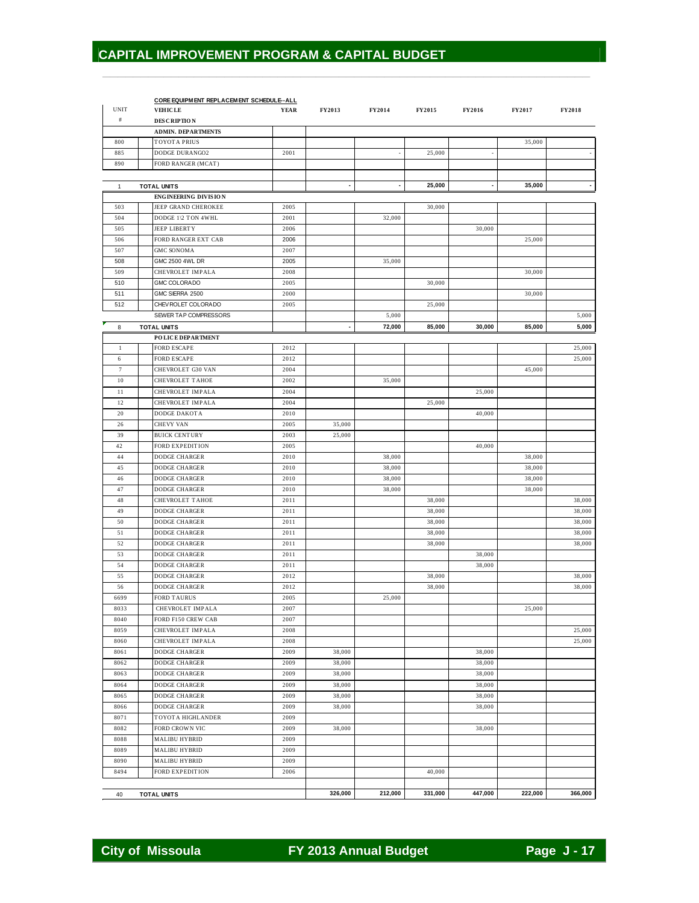|              | CORE EQUIPMENT REPLACEMENT SCHEDULE--ALL |             |         |         |               |         |         |         |
|--------------|------------------------------------------|-------------|---------|---------|---------------|---------|---------|---------|
| <b>UNIT</b>  | <b>VEHICLE</b>                           | <b>YEAR</b> | FY2013  | FY2014  | <b>FY2015</b> | FY2016  | FY2017  | FY2018  |
| $\#$         | <b>DESCRIPTION</b>                       |             |         |         |               |         |         |         |
|              | <b>ADMIN. DEPARTMENTS</b>                |             |         |         |               |         |         |         |
| 800          | <b>TOYOTA PRIUS</b>                      |             |         |         |               |         | 35,000  |         |
| 885          | DODGE DURANGO2                           | 2001        |         |         | 25,000        |         |         |         |
| 890          | FORD RANGER (MCAT)                       |             |         |         |               |         |         |         |
|              |                                          |             |         |         |               |         |         |         |
| $\mathbf{1}$ | <b>TOTAL UNITS</b>                       |             |         |         | 25,000        |         | 35,000  |         |
|              | <b>ENGINEERING DIVISION</b>              |             |         |         |               |         |         |         |
| 503          | JEEP GRAND CHEROKEE                      | 2005        |         |         | 30,000        |         |         |         |
| 504          | DODGE 1\2 TON 4WHL                       | 2001        |         | 32,000  |               |         |         |         |
| 505          | <b>JEEP LIBERTY</b>                      | 2006        |         |         |               | 30,000  |         |         |
| 506          | FORD RANGER EXT CAB                      | 2006        |         |         |               |         | 25,000  |         |
| 507          | <b>GMC SONOMA</b>                        | 2007        |         |         |               |         |         |         |
| 508          | GMC 2500 4WL DR                          | 2005        |         | 35,000  |               |         |         |         |
| 509          | CHEVROLET IMPALA                         | 2008        |         |         |               |         | 30,000  |         |
| 510          | <b>GMC COLORADO</b>                      | 2005        |         |         | 30,000        |         |         |         |
| 511          | GMC SIERRA 2500                          | 2000        |         |         |               |         | 30,000  |         |
| 512          | CHEV ROLET COLORADO                      | 2005        |         |         | 25,000        |         |         |         |
|              | SEWER TAP COMPRESSORS                    |             |         | 5,000   |               |         |         | 5,000   |
| 8            | <b>TOTAL UNITS</b>                       |             |         | 72,000  | 85,000        | 30,000  | 85,000  | 5,000   |
|              | <b>POLICE DEPARTMENT</b>                 |             |         |         |               |         |         |         |
| $\mathbf{1}$ | <b>FORD ESCAPE</b>                       | 2012        |         |         |               |         |         | 25,000  |
| 6            | <b>FORD ESCAPE</b>                       | 2012        |         |         |               |         |         | 25,000  |
| $\tau$       | CHEVROLET G30 VAN                        | 2004        |         |         |               |         | 45,000  |         |
| 10           | <b>CHEVROLET TAHOE</b>                   | 2002        |         | 35,000  |               |         |         |         |
| 11           | CHEVROLET IMPALA                         | 2004        |         |         |               | 25,000  |         |         |
| 12           | CHEVROLET IMPALA                         | 2004        |         |         | 25,000        |         |         |         |
| 20           | DODGE DAKOTA                             | 2010        |         |         |               | 40,000  |         |         |
| 26           | <b>CHEVY VAN</b>                         | 2005        | 35,000  |         |               |         |         |         |
| 39           | <b>BUICK CENTURY</b>                     | 2003        | 25,000  |         |               |         |         |         |
| 42           | FORD EXPEDITION                          | 2005        |         |         |               | 40,000  |         |         |
| 44           | DODGE CHARGER                            | 2010        |         | 38,000  |               |         | 38,000  |         |
| 45           | <b>DODGE CHARGER</b>                     | 2010        |         | 38,000  |               |         | 38,000  |         |
| 46           | <b>DODGE CHARGER</b>                     | 2010        |         | 38,000  |               |         | 38,000  |         |
| 47           | <b>DODGE CHARGER</b>                     | 2010        |         | 38,000  |               |         | 38,000  |         |
| 48           | <b>CHEVROLET TAHOE</b>                   | 2011        |         |         | 38,000        |         |         | 38,000  |
| 49           | <b>DODGE CHARGER</b>                     | 2011        |         |         | 38,000        |         |         | 38,000  |
| 50           | DODGE CHARGER                            | 2011        |         |         | 38,000        |         |         | 38,000  |
| 51           | <b>DODGE CHARGER</b>                     | 2011        |         |         | 38,000        |         |         | 38,000  |
| 52           | <b>DODGE CHARGER</b>                     | 2011        |         |         | 38,000        |         |         | 38,000  |
| 53           | <b>DODGE CHARGER</b>                     | 2011        |         |         |               | 38,000  |         |         |
| 54           | <b>DODGE CHARGER</b>                     | 2011        |         |         |               | 38,000  |         |         |
| 55           | <b>DODGE CHARGER</b>                     | 2012        |         |         | 38,000        |         |         | 38,000  |
| 56           | DODGE CHARGER                            | 2012        |         |         | 38,000        |         |         |         |
| 6699         | <b>FORD TAURUS</b>                       | 2005        |         | 25,000  |               |         |         | 38,000  |
| 8033         | CHEVROLET IMPALA                         |             |         |         |               |         |         |         |
|              |                                          | 2007        |         |         |               |         | 25,000  |         |
| 8040         | FORD F150 CREW CAB                       | 2007        |         |         |               |         |         |         |
| 8059         | CHEVROLET IMPALA                         | 2008        |         |         |               |         |         | 25,000  |
| 8060         | CHEVROLET IMPALA                         | 2008        |         |         |               |         |         | 25,000  |
| 8061         | DODGE CHARGER                            | 2009        | 38,000  |         |               | 38,000  |         |         |
| 8062         | DODGE CHARGER                            | 2009        | 38,000  |         |               | 38,000  |         |         |
| 8063         | DODGE CHARGER                            | 2009        | 38,000  |         |               | 38,000  |         |         |
| 8064         | DODGE CHARGER                            | 2009        | 38,000  |         |               | 38,000  |         |         |
| 8065         | DODGE CHARGER                            | 2009        | 38,000  |         |               | 38,000  |         |         |
| 8066         | DODGE CHARGER                            | 2009        | 38,000  |         |               | 38,000  |         |         |
| 8071         | TOYOTA HIGHLANDER                        | 2009        |         |         |               |         |         |         |
| 8082         | FORD CROWN VIC                           | 2009        | 38,000  |         |               | 38,000  |         |         |
| 8088         | <b>MALIBU HYBRID</b>                     | 2009        |         |         |               |         |         |         |
| 8089         | <b>MALIBU HYBRID</b>                     | 2009        |         |         |               |         |         |         |
| 8090         | <b>MALIBU HYBRID</b>                     | 2009        |         |         |               |         |         |         |
| 8494         | FORD EXPEDITION                          | 2006        |         |         | 40,000        |         |         |         |
|              |                                          |             |         |         |               |         |         |         |
| 40           | <b>TOTAL UNITS</b>                       |             | 326,000 | 212,000 | 331,000       | 447,000 | 222,000 | 366,000 |

 $\frac{1}{2}$  ,  $\frac{1}{2}$  ,  $\frac{1}{2}$  ,  $\frac{1}{2}$  ,  $\frac{1}{2}$  ,  $\frac{1}{2}$  ,  $\frac{1}{2}$  ,  $\frac{1}{2}$  ,  $\frac{1}{2}$  ,  $\frac{1}{2}$  ,  $\frac{1}{2}$  ,  $\frac{1}{2}$  ,  $\frac{1}{2}$  ,  $\frac{1}{2}$  ,  $\frac{1}{2}$  ,  $\frac{1}{2}$  ,  $\frac{1}{2}$  ,  $\frac{1}{2}$  ,  $\frac{1$ 

City of Missoula **FY 2013 Annual Budget** Page J - 17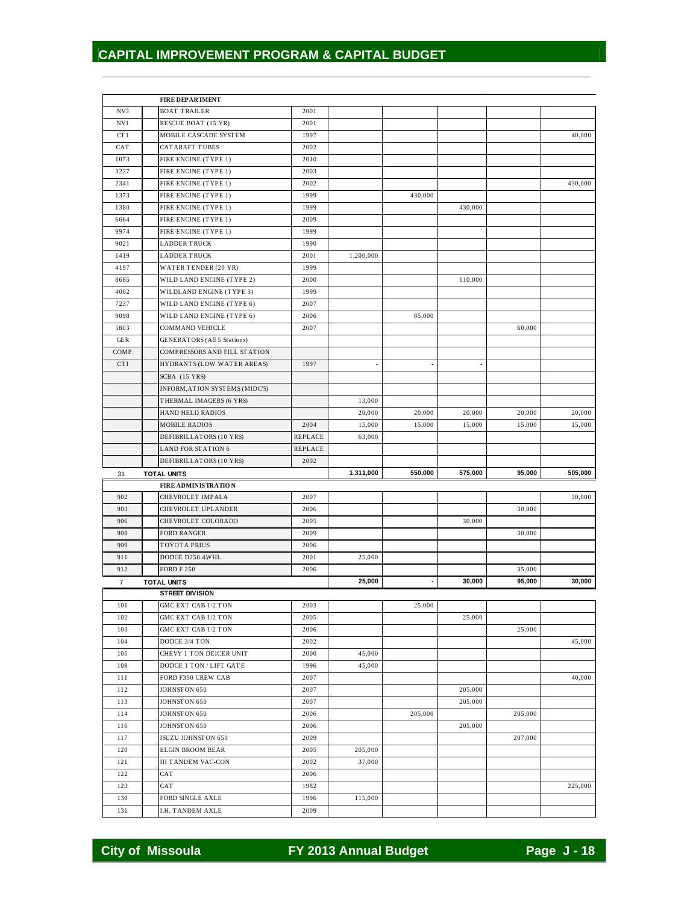$\frac{1}{2}$  ,  $\frac{1}{2}$  ,  $\frac{1}{2}$  ,  $\frac{1}{2}$  ,  $\frac{1}{2}$  ,  $\frac{1}{2}$  ,  $\frac{1}{2}$  ,  $\frac{1}{2}$  ,  $\frac{1}{2}$  ,  $\frac{1}{2}$  ,  $\frac{1}{2}$  ,  $\frac{1}{2}$  ,  $\frac{1}{2}$  ,  $\frac{1}{2}$  ,  $\frac{1}{2}$  ,  $\frac{1}{2}$  ,  $\frac{1}{2}$  ,  $\frac{1}{2}$  ,  $\frac{1$ 

|                 | <b>FIRE DEPARTMENT</b>               |              |           |                          |         |         |         |
|-----------------|--------------------------------------|--------------|-----------|--------------------------|---------|---------|---------|
| NV3             | <b>BOAT TRAILER</b>                  | 2001         |           |                          |         |         |         |
| NV1             | RESCUE BOAT (15 YR)                  | 2001         |           |                          |         |         |         |
| CT <sub>1</sub> | MOBILE CASCADE SYSTEM                | 1997         |           |                          |         |         | 40,000  |
| CAT             | CATARAFT TUBES                       | 2002         |           |                          |         |         |         |
| 1073            | FIRE ENGINE (TYPE 1)                 | 2010         |           |                          |         |         |         |
| 3227            | FIRE ENGINE (TYPE 1)                 | 2003         |           |                          |         |         |         |
| 2341            | FIRE ENGINE (TYPE 1)                 | 2002         |           |                          |         |         | 430,000 |
| 1373            | FIRE ENGINE (TYPE 1)                 | 1999         |           | 430,000                  |         |         |         |
| 1380            | FIRE ENGINE (TYPE 1)                 | 1999         |           |                          | 430,000 |         |         |
| 6664            | FIRE ENGINE (TYPE 1)                 | 2009         |           |                          |         |         |         |
| 9974            | FIRE ENGINE (TYPE 1)                 | 1999         |           |                          |         |         |         |
| 9021            | <b>LADDER TRUCK</b>                  | 1990         |           |                          |         |         |         |
| 1419            | <b>LADDER TRUCK</b>                  | 2001         | 1.200.000 |                          |         |         |         |
| 4197            | WATER TENDER (20 YR)                 | 1999         |           |                          |         |         |         |
| 8685            | WILD LAND ENGINE (TYPE 2)            | 2000         |           |                          | 110,000 |         |         |
| 4002            | WILDLAND ENGINE (TYPE 3)             | 1999         |           |                          |         |         |         |
| 7237            | WILD LAND ENGINE (TYPE 6)            | 2007         |           |                          |         |         |         |
| 9098            | WILD LAND ENGINE (TYPE 6)            | 2006         |           | 85,000                   |         |         |         |
| 5803            | COMMAND VEHICLE                      | 2007         |           |                          |         | 60,000  |         |
| <b>GER</b>      | GENERATORS (All 5 Stations)          |              |           |                          |         |         |         |
| COMP            | COMPRESSORS AND FILL STATION         |              |           |                          |         |         |         |
| <b>CTI</b>      | HYDRANTS (LOW WATER AREAS)           | 1997         |           |                          |         |         |         |
|                 | SCBA (15 YRS)                        |              |           |                          |         |         |         |
|                 |                                      |              |           |                          |         |         |         |
|                 | INFORM, ATION SYSTEMS (MIDC'S)       |              |           |                          |         |         |         |
|                 | THERMAL IMAGERS (6 YRS)              |              | 13,000    |                          |         |         |         |
|                 | HAND HELD RADIOS                     |              | 20,000    | 20,000                   | 20,000  | 20,000  | 20,000  |
|                 | <b>MOBILE RADIOS</b>                 | 2004         | 15,000    | 15,000                   | 15,000  | 15,000  | 15,000  |
|                 | DEFIBRILLATORS (10 YRS)              | REPLACE      | 63,000    |                          |         |         |         |
|                 | LAND FOR STATION 6                   | REPLACE      |           |                          |         |         |         |
|                 |                                      |              |           |                          |         |         |         |
|                 | DEFIBRILLATORS (10 YRS)              | 2002         |           |                          |         |         |         |
| 31              | TOTAL UNITS                          |              | 1,311,000 | 550,000                  | 575,000 | 95,000  | 505,000 |
|                 | <b>FIRE ADMINISTRATION</b>           |              |           |                          |         |         |         |
| 902             | CHEVROLET IMPALA                     | 2007         |           |                          |         |         | 30,000  |
| 903             | CHEVROLET UPLANDER                   | 2006         |           |                          |         | 30,000  |         |
| 906             | CHEVROLET COLORADO                   | 2005         |           |                          | 30,000  |         |         |
| 908             | <b>FORD RANGER</b>                   | 2009         |           |                          |         | 30,000  |         |
| 909             | <b>TOYOTA PRIUS</b>                  | 2006         |           |                          |         |         |         |
| 911             | DODGE D250 4WHL                      | 2001         | 25,000    |                          |         |         |         |
| 912             | <b>FORD F 250</b>                    | 2006         |           |                          |         | 35,000  |         |
| $\overline{7}$  | TOTAL UNITS                          |              | 25,000    | $\overline{\phantom{a}}$ | 30,000  | 95,000  | 30,000  |
|                 | <b>STREET DIVISION</b>               |              |           |                          |         |         |         |
| $101\,$         | GMC EXT CAB 1/2 TON                  | 2003         |           | 25,000                   |         |         |         |
| 102             | GMC EXT CAB 1/2 TON                  | 2005         |           |                          | 25,000  |         |         |
| 103             | <b>GMC EXT CAB 1/2 TON</b>           | 2006         |           |                          |         | 25,000  |         |
| 104             | DODGE 3/4 TON                        | 2002         |           |                          |         |         | 45,000  |
| 105             | CHEVY 1 TON DEICER UNIT              | 2000         | 45,000    |                          |         |         |         |
| 108             | DODGE 1 TON / LIFT GATE              | 1996         | 45,000    |                          |         |         |         |
| 111             | FORD F350 CREW CAB                   | 2007         |           |                          |         |         | 40,000  |
| 112             | JOHNSTON 650                         | 2007         |           |                          | 205,000 |         |         |
| 113             | JOHNSTON 650                         | 2007         |           |                          | 205,000 |         |         |
| 114             | JOHNSTON 650                         | 2006         |           | 205,000                  |         | 205,000 |         |
| 116             | JOHNSTON 650                         | 2006         |           |                          | 205,000 |         |         |
| 117             | ISUZU JOHNSTON 650                   | 2009         |           |                          |         | 207,000 |         |
| 120             | <b>ELGIN BROOM BEAR</b>              | 2005         | 205,000   |                          |         |         |         |
| 121             | <b>IH TANDEM VAC-CON</b>             | 2002         | 37,000    |                          |         |         |         |
| 122             | CAT                                  | 2006         |           |                          |         |         |         |
| 123             | CAT                                  | 1982         |           |                          |         |         | 225,000 |
| 130<br>131      | FORD SINGLE AXLE<br>I.H. TANDEM AXLE | 1996<br>2009 | 115,000   |                          |         |         |         |

**City of Missoula FY 2013 Annual Budget Page J - 18**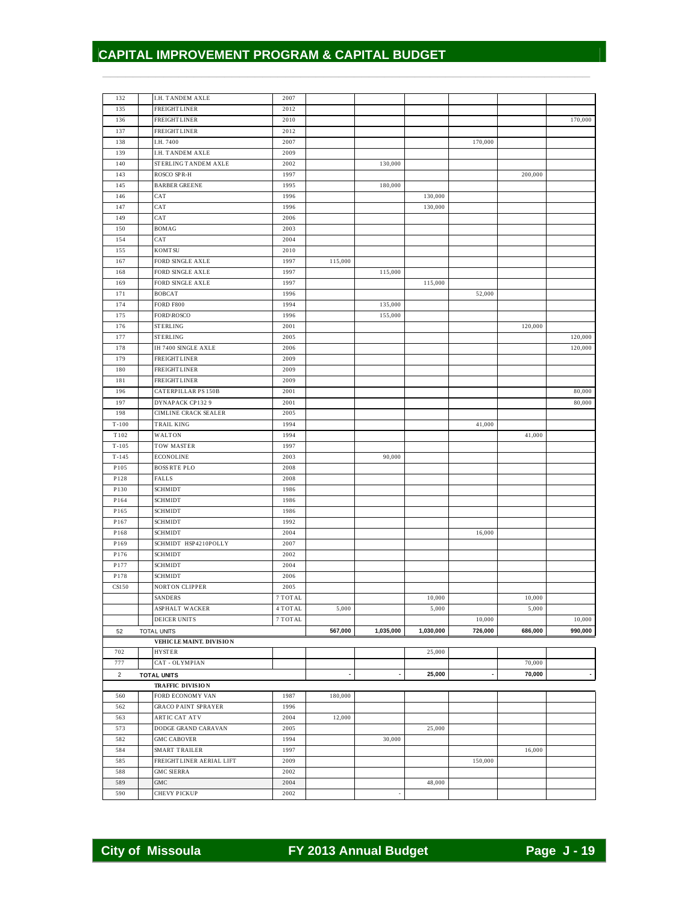| 132               | <b>I.H. TANDEM AXLE</b>                         | 2007         |         |           |           |         |         |         |
|-------------------|-------------------------------------------------|--------------|---------|-----------|-----------|---------|---------|---------|
| 135               | <b>FREIGHT LINER</b>                            | 2012         |         |           |           |         |         |         |
| 136               | <b>FREIGHT LINER</b>                            | 2010         |         |           |           |         |         | 170,000 |
| 137               | <b>FREIGHT LINER</b>                            | 2012         |         |           |           |         |         |         |
| 138               | I.H. 7400                                       | 2007         |         |           |           | 170,000 |         |         |
| 139               | <b>I.H. TANDEM AXLE</b>                         | 2009         |         |           |           |         |         |         |
| 140               | STERLING TANDEM AXLE                            | 2002         |         | 130,000   |           |         |         |         |
| 143               | ROSCO SPR-H                                     | 1997         |         |           |           |         | 200,000 |         |
| 145               | <b>BARBER GREENE</b>                            | 1995         |         | 180,000   |           |         |         |         |
| 146               | CAT                                             | 1996         |         |           | 130,000   |         |         |         |
| 147               | CAT                                             | 1996         |         |           | 130,000   |         |         |         |
| 149               | CAT                                             | 2006         |         |           |           |         |         |         |
| 150               | <b>BOMAG</b>                                    | 2003         |         |           |           |         |         |         |
| 154               | CAT                                             | 2004         |         |           |           |         |         |         |
| 155               | <b>KOMTSU</b>                                   | 2010         |         |           |           |         |         |         |
| 167               | FORD SINGLE AXLE                                | 1997         | 115,000 |           |           |         |         |         |
| 168               | FORD SINGLE AXLE                                | 1997         |         | 115,000   |           |         |         |         |
| 169               | FORD SINGLE AXLE                                | 1997         |         |           | 115,000   |         |         |         |
| 171               | <b>BOBCAT</b>                                   | 1996         |         |           |           | 52,000  |         |         |
| 174               | <b>FORD F800</b>                                | 1994         |         | 135,000   |           |         |         |         |
| 175               | FORD\ROSCO                                      | 1996         |         | 155,000   |           |         |         |         |
| 176               | <b>STERLING</b>                                 | 2001         |         |           |           |         | 120,000 |         |
| 177               | <b>STERLING</b>                                 | 2005         |         |           |           |         |         | 120,000 |
| 178               | <b>IH 7400 SINGLE AXLE</b>                      | 2006         |         |           |           |         |         | 120,000 |
| 179               | <b>FREIGHTLINER</b>                             | 2009         |         |           |           |         |         |         |
| 180               | <b>FREIGHT LINER</b>                            | 2009         |         |           |           |         |         |         |
| 181               | <b>FREIGHTLINER</b>                             | 2009         |         |           |           |         |         |         |
| 196               | CATERPILLAR PS 150B                             | 2001         |         |           |           |         |         | 80,000  |
| 197<br>198        | DYNAPACK CP132 9<br><b>CIMLINE CRACK SEALER</b> | 2001<br>2005 |         |           |           |         |         | 80,000  |
|                   |                                                 |              |         |           |           |         |         |         |
| $T - 100$<br>T102 | <b>TRAIL KING</b><br>WALTON                     | 1994<br>1994 |         |           |           | 41,000  | 41,000  |         |
| $T - 105$         | TOW MASTER                                      | 1997         |         |           |           |         |         |         |
| $T - 145$         | <b>ECONOLINE</b>                                | 2003         |         | 90,000    |           |         |         |         |
| P105              | <b>BOSS RTE PLO</b>                             | 2008         |         |           |           |         |         |         |
| P128              | <b>FALLS</b>                                    | 2008         |         |           |           |         |         |         |
| P130              | <b>SCHMIDT</b>                                  | 1986         |         |           |           |         |         |         |
| P164              | <b>SCHMIDT</b>                                  | 1986         |         |           |           |         |         |         |
| P165              | <b>SCHMIDT</b>                                  | 1986         |         |           |           |         |         |         |
| P167              | <b>SCHMIDT</b>                                  | 1992         |         |           |           |         |         |         |
| P168              | <b>SCHMIDT</b>                                  | 2004         |         |           |           | 16,000  |         |         |
| P169              | SCHMIDT HSP4210POLLY                            | 2007         |         |           |           |         |         |         |
| P176              | <b>SCHMIDT</b>                                  | 2002         |         |           |           |         |         |         |
| P177              | <b>SCHMIDT</b>                                  | 2004         |         |           |           |         |         |         |
| P178              | <b>SCHMIDT</b>                                  | 2006         |         |           |           |         |         |         |
| CS150             | <b>NORTON CLIPPER</b>                           | 2005         |         |           |           |         |         |         |
|                   | <b>SANDERS</b>                                  | 7 TOTAL      |         |           | 10,000    |         | 10,000  |         |
|                   | ASPHALT WACKER                                  | 4 TOTAL      | 5,000   |           | 5,000     |         | 5,000   |         |
|                   | DEICER UNITS                                    | 7 TOTAL      |         |           |           | 10,000  |         | 10,000  |
| 52                | <b>TOTAL UNITS</b>                              |              | 567,000 | 1,035,000 | 1,030,000 | 726,000 | 686,000 | 990,000 |
|                   | VEHICLE MAINT. DIVISION                         |              |         |           |           |         |         |         |
| 702               | <b>HYSTER</b>                                   |              |         |           | 25,000    |         |         |         |
| 777               | CAT - OLYMPIAN                                  |              |         |           |           |         | 70,000  |         |
| $\overline{2}$    | <b>TOTAL UNITS</b>                              |              |         |           | 25,000    |         | 70,000  |         |
|                   | <b>TRAFFIC DIVISION</b>                         |              |         |           |           |         |         |         |
| 560               | FORD ECONOMY VAN                                | 1987         | 180,000 |           |           |         |         |         |
| 562               | <b>GRACO PAINT SPRAYER</b>                      | 1996         |         |           |           |         |         |         |
| 563               | <b>ARTIC CAT ATV</b>                            | 2004         | 12,000  |           |           |         |         |         |
| 573               | DODGE GRAND CARAVAN                             | 2005         |         |           | 25,000    |         |         |         |
| 582               | <b>GMC CABOVER</b>                              | 1994         |         | 30,000    |           |         |         |         |
| 584               | SMART TRAILER                                   | 1997         |         |           |           |         | 16,000  |         |
| 585               | FREIGHTLINER AERIAL LIFT                        | 2009         |         |           |           | 150,000 |         |         |
| 588               | <b>GMC SIERRA</b>                               | 2002         |         |           |           |         |         |         |
| 589               | ${\rm GMC}$                                     | 2004         |         |           | 48,000    |         |         |         |
|                   | CHEVY PICKUP                                    | 2002         |         |           |           |         |         |         |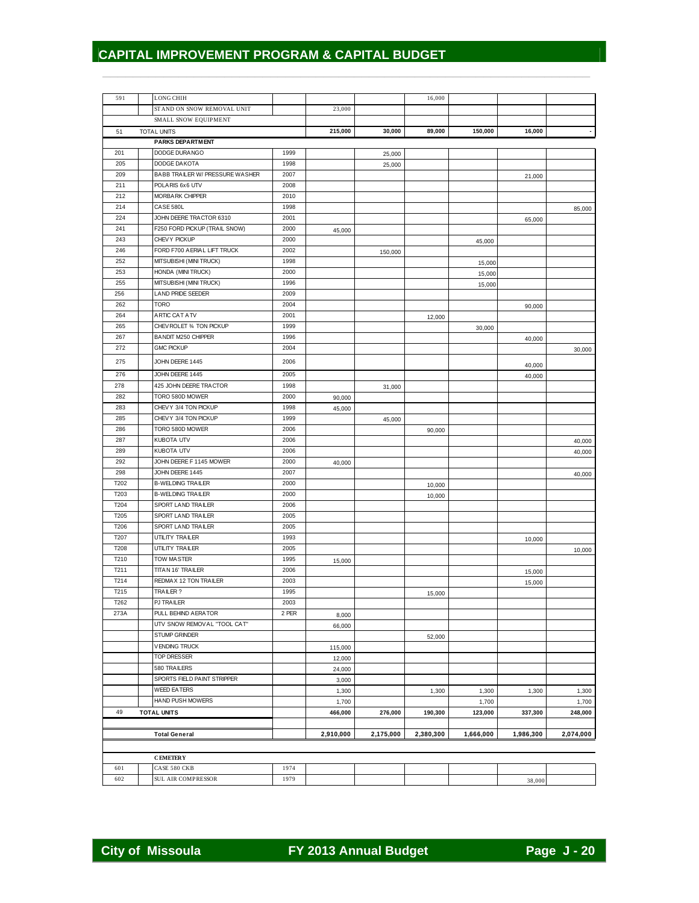| 591              | <b>LONG CHIH</b>                   |               |                  |           | 16,000    |                  |           |                  |
|------------------|------------------------------------|---------------|------------------|-----------|-----------|------------------|-----------|------------------|
|                  | STAND ON SNOW REMOVAL UNIT         |               | 23,000           |           |           |                  |           |                  |
|                  | SMALL SNOW EQUIPMENT               |               |                  |           |           |                  |           |                  |
| 51               | <b>TOTAL UNITS</b>                 |               | 215,000          | 30,000    | 89,000    | 150,000          | 16,000    |                  |
|                  | <b>PARKS DEPARTMENT</b>            |               |                  |           |           |                  |           |                  |
| 201              | DODGE DURANGO                      | 1999          |                  | 25,000    |           |                  |           |                  |
| 205              | DODGE DAKOTA                       | 1998          |                  | 25,000    |           |                  |           |                  |
| 209              | BABB TRAILER W/ PRESSURE WASHER    | 2007          |                  |           |           |                  | 21,000    |                  |
| 211              | POLARIS 6x6 UTV                    | 2008          |                  |           |           |                  |           |                  |
| 212              | MORBARK CHIPPER                    | 2010          |                  |           |           |                  |           |                  |
| 214              | CASE 580L                          | 1998          |                  |           |           |                  |           | 85,000           |
| 224              | JOHN DEERE TRACTOR 6310            | 2001          |                  |           |           |                  | 65,000    |                  |
| 241              | F250 FORD PICKUP (TRAIL SNOW)      | 2000          | 45,000           |           |           |                  |           |                  |
| 243              | CHEVY PICKUP                       | 2000          |                  |           |           | 45,000           |           |                  |
| 246              | FORD F700 AERIAL LIFT TRUCK        | 2002          |                  | 150,000   |           |                  |           |                  |
| 252              | MITSUBISHI (MINI TRUCK)            | 1998          |                  |           |           | 15,000           |           |                  |
| 253              | HONDA (MINI TRUCK)                 | 2000          |                  |           |           | 15,000           |           |                  |
| 255              | MITSUBISHI (MINI TRUCK)            | 1996          |                  |           |           | 15,000           |           |                  |
| 256              | <b>LAND PRIDE SEEDER</b>           | 2009          |                  |           |           |                  |           |                  |
| 262              | <b>TORO</b>                        | 2004          |                  |           |           |                  | 90,000    |                  |
| 264              | ARTIC CAT ATV                      | 2001          |                  |           | 12,000    |                  |           |                  |
| 265              | CHEV ROLET 34 TON PICKUP           | 1999          |                  |           |           | 30,000           |           |                  |
| 267              | <b>BANDIT M250 CHIPPER</b>         | 1996          |                  |           |           |                  | 40,000    |                  |
| 272              | <b>GMC PICKUP</b>                  | 2004          |                  |           |           |                  |           | 30,000           |
| 275              | JOHN DEERE 1445                    | 2006          |                  |           |           |                  |           |                  |
| 276              | JOHN DEERE 1445                    | 2005          |                  |           |           |                  | 40,000    |                  |
|                  | 425 JOHN DEERE TRACTOR             |               |                  |           |           |                  | 40,000    |                  |
| 278<br>282       | TORO 580D MOWER                    | 1998<br>2000  |                  | 31,000    |           |                  |           |                  |
| 283              | CHEVY 3/4 TON PICKUP               | 1998          | 90,000           |           |           |                  |           |                  |
| 285              | CHEVY 3/4 TON PICKUP               | 1999          | 45,000           |           |           |                  |           |                  |
| 286              | TORO 580D MOWER                    | 2006          |                  | 45,000    |           |                  |           |                  |
| 287              | KUBOTA UTV                         | 2006          |                  |           | 90,000    |                  |           |                  |
| 289              | KUBOTA UTV                         | 2006          |                  |           |           |                  |           | 40,000           |
| 292              | JOHN DEERE F 1145 MOWER            |               |                  |           |           |                  |           | 40,000           |
| 298              | JOHN DEERE 1445                    | 2000<br>2007  | 40,000           |           |           |                  |           |                  |
| T202             | <b>B-WELDING TRAILER</b>           | 2000          |                  |           |           |                  |           | 40,000           |
| T203             | <b>B-WELDING TRAILER</b>           | 2000          |                  |           | 10,000    |                  |           |                  |
| T204             | SPORT LAND TRAILER                 | 2006          |                  |           | 10,000    |                  |           |                  |
| T205             | SPORT LAND TRAILER                 | 2005          |                  |           |           |                  |           |                  |
| T206             | SPORT LAND TRAILER                 | 2005          |                  |           |           |                  |           |                  |
| T207             | UTILITY TRAILER                    | 1993          |                  |           |           |                  |           |                  |
| T208             | UTILITY TRAILER                    | 2005          |                  |           |           |                  | 10,000    |                  |
| T210             | <b>TOW MASTER</b>                  | 1995          |                  |           |           |                  |           | 10,000           |
| T <sub>211</sub> | TITAN 16' TRAILER                  | 2006          | 15,000           |           |           |                  |           |                  |
| T214             | REDMAX 12 TON TRAILER              | 2003          |                  |           |           |                  | 15,000    |                  |
| T215             | TRAILER?                           | 1995          |                  |           |           |                  | 15,000    |                  |
| T262             |                                    |               |                  |           | 15,000    |                  |           |                  |
| 273A             | PJ TRAILER<br>PULL BEHIND A ERATOR | 2003<br>2 PER |                  |           |           |                  |           |                  |
|                  | UTV SNOW REMOVAL "TOOL CAT"        |               | 8,000            |           |           |                  |           |                  |
|                  | STUMP GRINDER                      |               | 66,000           |           |           |                  |           |                  |
|                  | <b>VENDING TRUCK</b>               |               |                  |           | 52,000    |                  |           |                  |
|                  | TOP DRESSER                        |               | 115,000          |           |           |                  |           |                  |
|                  | 580 TRAILERS                       |               | 12,000           |           |           |                  |           |                  |
|                  | SPORTS FIELD PAINT STRIPPER        |               | 24,000           |           |           |                  |           |                  |
|                  | <b>WEED EATERS</b>                 |               | 3,000            |           |           |                  |           |                  |
|                  | HAND PUSH MOWERS                   |               | 1,300            |           | 1,300     | 1,300            | 1,300     | 1,300            |
| 49               |                                    |               | 1,700<br>466,000 |           | 190,300   | 1,700<br>123,000 |           | 1,700<br>248,000 |
|                  | <b>TOTAL UNITS</b>                 |               |                  | 276,000   |           |                  | 337,300   |                  |
|                  | <b>Total General</b>               |               | 2,910,000        | 2,175,000 | 2,380,300 | 1,666,000        | 1,986,300 | 2,074,000        |
|                  |                                    |               |                  |           |           |                  |           |                  |
|                  |                                    |               |                  |           |           |                  |           |                  |
|                  | <b>CEMETERY</b>                    |               |                  |           |           |                  |           |                  |
| 601              | CASE 580 CKB                       | 1974          |                  |           |           |                  |           |                  |
| 602              | SUL AIR COMPRESSOR                 | 1979          |                  |           |           |                  | 38,000    |                  |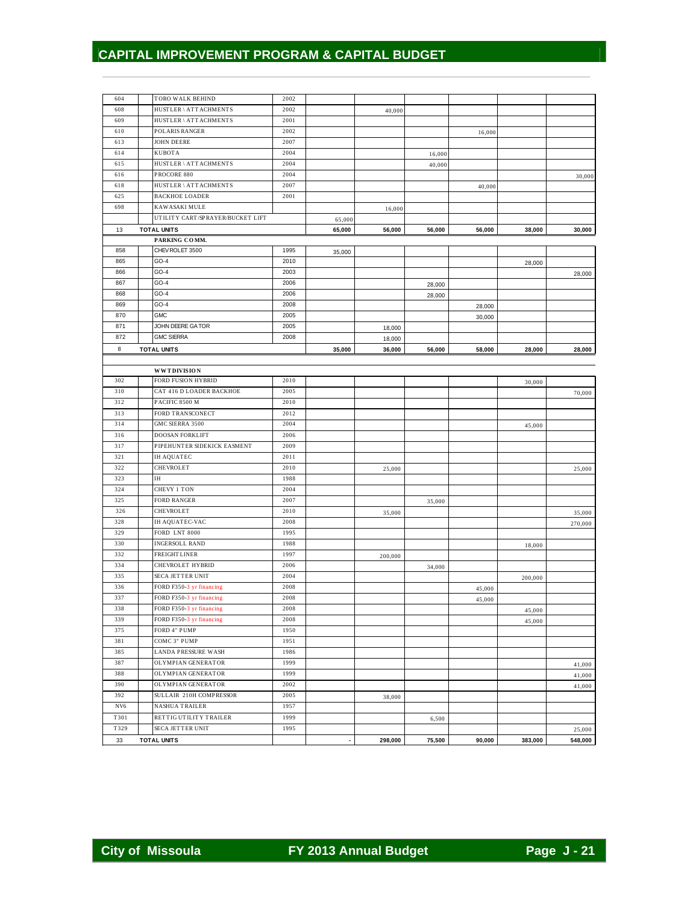| 604             | TORO WALK BEHIND                         | 2002 |        |         |        |        |         |         |
|-----------------|------------------------------------------|------|--------|---------|--------|--------|---------|---------|
| 608             | HUSTLER \ ATTACHMENTS                    | 2002 |        | 40,000  |        |        |         |         |
| 609             | HUSTLER \ ATTACHMENTS                    | 2001 |        |         |        |        |         |         |
| 610             | POLARIS RANGER                           | 2002 |        |         |        | 16,000 |         |         |
| 613             | <b>JOHN DEERE</b>                        | 2007 |        |         |        |        |         |         |
| 614             | <b>KUBOTA</b>                            | 2004 |        |         | 16,000 |        |         |         |
| 615             | HUSTLER \ ATTACHMENTS                    | 2004 |        |         | 40,000 |        |         |         |
| 616             | PROCORE 880                              | 2004 |        |         |        |        |         |         |
| 618             | HUSTLER \ ATTACHMENTS                    | 2007 |        |         |        |        |         | 30,000  |
|                 |                                          |      |        |         |        | 40,000 |         |         |
| 625             | <b>BACKHOE LOADER</b>                    | 2001 |        |         |        |        |         |         |
| 698             | <b>KAWASAKI MULE</b>                     |      |        | 16,000  |        |        |         |         |
|                 | UTILITY CART/SPRAYER/BUCKET LIFT         |      | 65,000 |         |        |        |         |         |
| 13              | <b>TOTAL UNITS</b>                       |      | 65,000 | 56,000  | 56,000 | 56,000 | 38,000  | 30,000  |
|                 | PARKING COMM.                            |      |        |         |        |        |         |         |
| 858             | CHEV ROLET 3500                          | 1995 | 35,000 |         |        |        |         |         |
| 865             | $GO-4$                                   | 2010 |        |         |        |        | 28,000  |         |
| 866             | $GO-4$                                   | 2003 |        |         |        |        |         | 28,000  |
| 867             | $GO-4$                                   | 2006 |        |         | 28,000 |        |         |         |
| 868             | $GO-4$                                   | 2006 |        |         | 28,000 |        |         |         |
| 869             | $GO-4$                                   | 2008 |        |         |        | 28,000 |         |         |
| 870             | <b>GMC</b>                               | 2005 |        |         |        | 30,000 |         |         |
| 871             | JOHN DEERE GATOR                         | 2005 |        | 18,000  |        |        |         |         |
| 872             | <b>GMC SIERRA</b>                        | 2008 |        |         |        |        |         |         |
|                 | <b>TOTAL UNITS</b>                       |      |        | 18,000  |        |        |         |         |
| 8               |                                          |      | 35,000 | 36,000  | 56,000 | 58,000 | 28,000  | 28,000  |
|                 |                                          |      |        |         |        |        |         |         |
|                 | <b>WWTDIVISION</b><br>FORD FUSION HYBRID |      |        |         |        |        |         |         |
| 302             |                                          | 2010 |        |         |        |        | 30,000  |         |
| 310             | CAT 416 D LOADER BACKHOE                 | 2005 |        |         |        |        |         | 70,000  |
| 312             | PACIFIC 8500 M                           | 2010 |        |         |        |        |         |         |
| 313             | FORD TRANSCONECT                         | 2012 |        |         |        |        |         |         |
| 314             | GMC SIERRA 3500                          | 2004 |        |         |        |        | 45,000  |         |
| 316             | <b>DOOSAN FORKLIFT</b>                   | 2006 |        |         |        |        |         |         |
| 317             | PIPEHUNTER SIDEKICK EASMENT              | 2009 |        |         |        |        |         |         |
| 321             | <b>IH AQUATEC</b>                        | 2011 |        |         |        |        |         |         |
| 322             | <b>CHEVROLET</b>                         | 2010 |        | 25,000  |        |        |         | 25,000  |
| 323             | IH                                       | 1988 |        |         |        |        |         |         |
| 324             | CHEVY 1 TON                              | 2004 |        |         |        |        |         |         |
| 325             | <b>FORD RANGER</b>                       | 2007 |        |         | 35,000 |        |         |         |
| 326             | <b>CHEVROLET</b>                         | 2010 |        | 35,000  |        |        |         | 35,000  |
| 328             | <b>IH AQUATEC-VAC</b>                    | 2008 |        |         |        |        |         |         |
| 329             | FORD LNT 8000                            | 1995 |        |         |        |        |         | 270,000 |
| 330             | <b>INGERSOLL RAND</b>                    | 1988 |        |         |        |        |         |         |
|                 |                                          |      |        |         |        |        | 18,000  |         |
| 332             | FREIGHTLINER                             | 1997 |        | 200,000 |        |        |         |         |
| 334             | CHEVROLET HYBRID                         | 2006 |        |         | 34,000 |        |         |         |
| 335             | <b>SECA JETTER UNIT</b>                  | 2004 |        |         |        |        | 200,000 |         |
| 336             | FORD F350-3 yr financing                 | 2008 |        |         |        | 45,000 |         |         |
| 337             | FORD F350-3 yr financing                 | 2008 |        |         |        | 45,000 |         |         |
| 338             | FORD F350-3 yr financing                 | 2008 |        |         |        |        | 45,000  |         |
| 339             | FORD F350-3 yr financing                 | 2008 |        |         |        |        | 45,000  |         |
| 375             | FORD 4" PUMP                             | 1950 |        |         |        |        |         |         |
| 381             | COMC 3" PUMP                             | 1951 |        |         |        |        |         |         |
| 385             | <b>LANDA PRESSURE WASH</b>               | 1986 |        |         |        |        |         |         |
| 387             | OLYMPIAN GENERATOR                       | 1999 |        |         |        |        |         | 41,000  |
| 388             | OLYMPIAN GENERATOR                       | 1999 |        |         |        |        |         |         |
| 390             | OLYMPIAN GENERATOR                       | 2002 |        |         |        |        |         | 41,000  |
| 392             | SULLAIR 210H COMPRESSOR                  | 2005 |        |         |        |        |         | 41,000  |
|                 | <b>NASHUA TRAILER</b>                    |      |        | 38,000  |        |        |         |         |
| NV <sub>6</sub> |                                          | 1957 |        |         |        |        |         |         |
| T301            | RETTIG UTILITY TRAILER                   | 1999 |        |         | 6,500  |        |         |         |
| T329            | SECA JETTER UNIT                         | 1995 |        |         |        |        |         | 25,000  |
| 33              | <b>TOTAL UNITS</b>                       |      |        | 298,000 | 75,500 | 90,000 | 383,000 | 548,000 |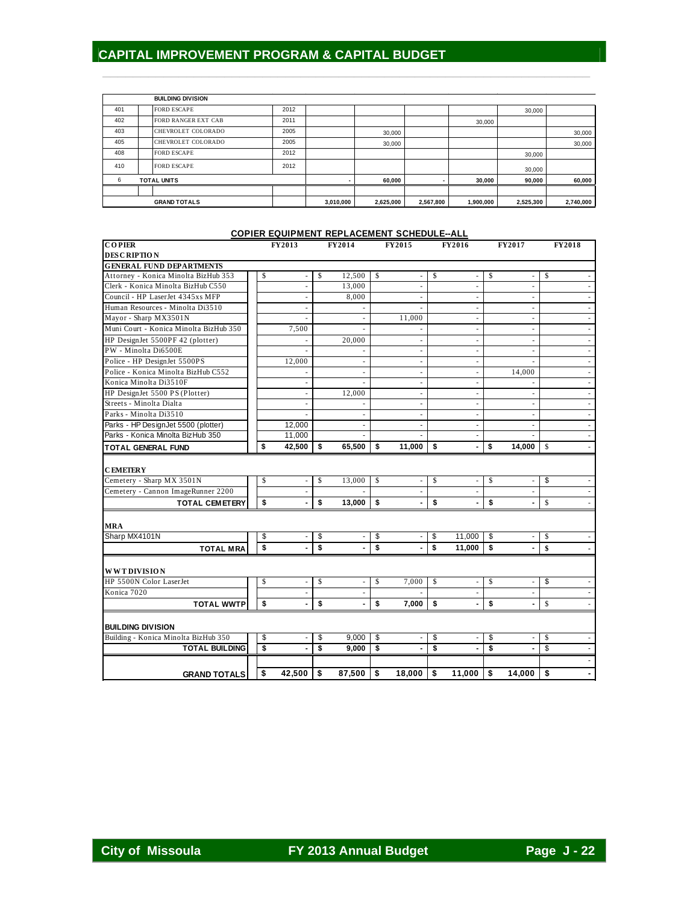|                     |  | <b>BUILDING DIVISION</b>   |           |           |           |           |           |           |        |
|---------------------|--|----------------------------|-----------|-----------|-----------|-----------|-----------|-----------|--------|
| 401                 |  | <b>FORD ESCAPE</b>         | 2012      |           |           |           |           | 30,000    |        |
| 402                 |  | <b>FORD RANGER EXT CAB</b> | 2011      |           |           |           | 30,000    |           |        |
| 403                 |  | CHEVROLET COLORADO         | 2005      |           | 30,000    |           |           |           | 30,000 |
| 405                 |  | CHEVROLET COLORADO         | 2005      |           | 30,000    |           |           |           | 30,000 |
| 408                 |  | <b>FORD ESCAPE</b>         | 2012      |           |           |           |           | 30,000    |        |
| 410                 |  | <b>FORD ESCAPE</b>         | 2012      |           |           |           |           | 30,000    |        |
| 6                   |  | <b>TOTAL UNITS</b>         |           |           | 60,000    |           | 30,000    | 90,000    | 60,000 |
|                     |  |                            |           |           |           |           |           |           |        |
| <b>GRAND TOTALS</b> |  |                            | 3,010,000 | 2,625,000 | 2,567,800 | 1,900,000 | 2,525,300 | 2,740,000 |        |

 $\frac{1}{2}$  ,  $\frac{1}{2}$  ,  $\frac{1}{2}$  ,  $\frac{1}{2}$  ,  $\frac{1}{2}$  ,  $\frac{1}{2}$  ,  $\frac{1}{2}$  ,  $\frac{1}{2}$  ,  $\frac{1}{2}$  ,  $\frac{1}{2}$  ,  $\frac{1}{2}$  ,  $\frac{1}{2}$  ,  $\frac{1}{2}$  ,  $\frac{1}{2}$  ,  $\frac{1}{2}$  ,  $\frac{1}{2}$  ,  $\frac{1}{2}$  ,  $\frac{1}{2}$  ,  $\frac{1$ 

# **COPIER EQUIPMENT REPLACEMENT SCHEDULE--ALL**

| <b>COPIER</b>                          |                         | <b>FY2013</b>            | <b>FY2014</b> |                         | <b>FY2015</b>            |              | <b>FY2016</b>            | <b>FY2017</b>                  | <b>FY2018</b>                                     |
|----------------------------------------|-------------------------|--------------------------|---------------|-------------------------|--------------------------|--------------|--------------------------|--------------------------------|---------------------------------------------------|
| <b>DESCRIPTION</b>                     |                         |                          |               |                         |                          |              |                          |                                |                                                   |
| <b>GENERAL FUND DEPARTMENTS</b>        |                         |                          |               |                         |                          |              |                          |                                |                                                   |
| Attorney - Konica Minolta BizHub 353   | \$                      |                          | \$<br>12,500  | $\mathsf{\$}$           | ÷                        | \$           |                          | \$                             | \$                                                |
| Clerk - Konica Minolta BizHub C550     |                         | $\overline{\phantom{a}}$ | 13,000        |                         | $\overline{\phantom{a}}$ |              | $\blacksquare$           | $\overline{\phantom{a}}$       | $\sim$                                            |
| Council - HP LaserJet 4345xs MFP       |                         |                          | 8,000         |                         | $\overline{\phantom{a}}$ |              | $\overline{\phantom{a}}$ | $\overline{\phantom{a}}$       | $\sim$                                            |
| Human Resources - Minolta Di3510       |                         |                          |               |                         |                          |              |                          |                                | $\overline{\phantom{a}}$                          |
| Mayor - Sharp MX3501N                  |                         |                          |               |                         | 11,000                   |              | $\sim$                   | $\sim$                         | $\overline{\phantom{a}}$                          |
| Muni Court - Konica Minolta BizHub 350 |                         | 7,500                    |               |                         |                          |              | $\overline{\phantom{a}}$ | $\overline{\phantom{a}}$       | $\overline{\phantom{a}}$                          |
| HP DesignJet 5500PF 42 (plotter)       |                         |                          | 20,000        |                         | $\overline{\phantom{a}}$ |              |                          | $\sim$                         | $\overline{\phantom{a}}$                          |
| PW - Minolta Di6500E                   |                         |                          |               |                         | $\overline{\phantom{a}}$ |              | $\overline{\phantom{a}}$ | $\sim$                         | $\overline{\phantom{a}}$                          |
| Police - HP DesignJet 5500PS           |                         | 12,000                   |               |                         | $\overline{\phantom{a}}$ |              | $\overline{\phantom{a}}$ | $\overline{\phantom{a}}$       | $\sim$                                            |
| Police - Konica Minolta BizHub C552    |                         |                          |               |                         | $\overline{\phantom{a}}$ |              | ٠                        | 14,000                         | $\overline{\phantom{a}}$                          |
| Konica Minolta Di3510F                 |                         |                          |               |                         | $\overline{\phantom{a}}$ |              | $\sim$                   |                                | $\overline{\phantom{a}}$                          |
| HP DesignJet 5500 PS (Plotter)         |                         |                          | 12,000        |                         | $\overline{\phantom{a}}$ |              |                          | $\overline{\phantom{a}}$       | $\overline{\phantom{a}}$                          |
| Streets - Minolta Dialta               |                         |                          |               |                         | $\bar{a}$                |              |                          |                                | $\overline{\phantom{a}}$                          |
| Parks - Minolta Di3510                 |                         |                          |               |                         | $\sim$                   |              | $\sim$                   | $\sim$                         | $\overline{\phantom{a}}$                          |
| Parks - HP DesignJet 5500 (plotter)    |                         | 12,000                   |               |                         | $\overline{\phantom{a}}$ |              | $\overline{\phantom{a}}$ | $\overline{\phantom{a}}$       | $\overline{\phantom{a}}$                          |
| Parks - Konica Minolta BizHub 350      |                         | 11,000                   |               |                         | $\sim$                   |              | ٠                        |                                |                                                   |
| <b>TOTAL GENERAL FUND</b>              | \$                      | 42,500                   | \$<br>65,500  | s.                      | 11,000                   | \$           |                          | \$<br>14,000                   | $\mathbb{S}$<br>$\blacksquare$                    |
|                                        |                         |                          |               |                         |                          |              |                          |                                |                                                   |
| <b>CEMETERY</b>                        |                         |                          |               |                         |                          |              |                          |                                |                                                   |
| Cemetery - Sharp MX 3501N              | \$                      |                          | \$<br>13,000  | \$                      | ÷                        | $\mathsf{s}$ |                          | \$<br>$\overline{\phantom{a}}$ | \$                                                |
| Cemetery - Cannon ImageRunner 2200     |                         |                          |               |                         | ÷,                       |              |                          | $\overline{\phantom{a}}$       |                                                   |
| <b>TOTAL CEMETERY</b>                  | \$                      |                          | \$<br>13,000  | s.                      | $\overline{a}$           | \$           |                          | \$<br>$\overline{\phantom{a}}$ | $\mathbb{S}$                                      |
|                                        |                         |                          |               |                         |                          |              |                          |                                |                                                   |
| <b>MRA</b>                             |                         |                          |               |                         |                          |              |                          |                                |                                                   |
| Sharp MX4101N                          | \$                      |                          | \$            | \$                      | ۰                        | \$           | 11,000                   | \$<br>$\overline{\phantom{a}}$ | \$                                                |
| <b>TOTAL MRA</b>                       | $\mathbf{s}$            |                          | \$            | \$                      |                          | \$           | 11,000                   | \$<br>$\overline{\phantom{a}}$ | $\boldsymbol{\hat{\mathbf{s}}}$<br>$\blacksquare$ |
|                                        |                         |                          |               |                         |                          |              |                          |                                |                                                   |
| <b>WWTDIVISION</b>                     |                         |                          |               |                         |                          |              |                          |                                |                                                   |
| HP 5500N Color LaserJet                | \$                      |                          | \$            | \$                      | 7,000                    | $\mathbb{S}$ | ÷,                       | \$<br>$\overline{\phantom{a}}$ | \$                                                |
| Konica 7020                            |                         |                          |               |                         |                          |              |                          | $\overline{\phantom{a}}$       |                                                   |
| <b>TOTAL WWTP</b>                      | \$                      |                          | \$            | \$                      | 7,000                    | S.           |                          | \$                             | $\mathsf{\$}$                                     |
|                                        |                         |                          |               |                         |                          |              |                          |                                |                                                   |
| <b>BUILDING DIVISION</b>               |                         |                          |               |                         |                          |              |                          |                                |                                                   |
| Building - Konica Minolta BizHub 350   | \$                      |                          | \$<br>9,000   | \$                      |                          | \$           |                          | \$                             | \$                                                |
| <b>TOTAL BUILDING</b>                  | $\overline{\mathbf{s}}$ |                          | \$<br>9,000   | $\overline{\mathbf{s}}$ | $\blacksquare$           | \$           |                          | \$<br>$\overline{a}$           | \$<br>$\sim$                                      |
|                                        |                         |                          |               |                         |                          |              |                          |                                |                                                   |
| <b>GRAND TOTALS</b>                    | \$                      | 42,500                   | \$<br>87,500  | \$                      | 18,000                   | \$           | 11,000                   | \$<br>14,000                   | \$<br>٠                                           |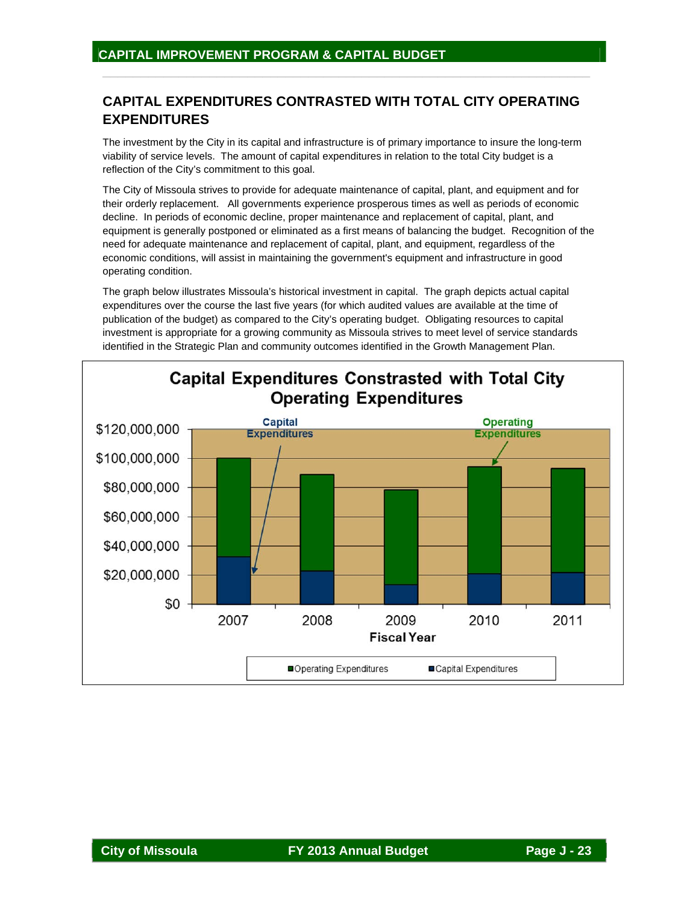# **CAPITAL EXPENDITURES CONTRASTED WITH TOTAL CITY OPERATING EXPENDITURES**

 $\overline{\phantom{a}}$  , and the contribution of the contribution of the contribution of the contribution of the contribution of the contribution of the contribution of the contribution of the contribution of the contribution of the

The investment by the City in its capital and infrastructure is of primary importance to insure the long-term viability of service levels. The amount of capital expenditures in relation to the total City budget is a reflection of the City's commitment to this goal.

The City of Missoula strives to provide for adequate maintenance of capital, plant, and equipment and for their orderly replacement. All governments experience prosperous times as well as periods of economic decline. In periods of economic decline, proper maintenance and replacement of capital, plant, and equipment is generally postponed or eliminated as a first means of balancing the budget. Recognition of the need for adequate maintenance and replacement of capital, plant, and equipment, regardless of the economic conditions, will assist in maintaining the government's equipment and infrastructure in good operating condition.

The graph below illustrates Missoula's historical investment in capital. The graph depicts actual capital expenditures over the course the last five years (for which audited values are available at the time of publication of the budget) as compared to the City's operating budget. Obligating resources to capital investment is appropriate for a growing community as Missoula strives to meet level of service standards identified in the Strategic Plan and community outcomes identified in the Growth Management Plan.

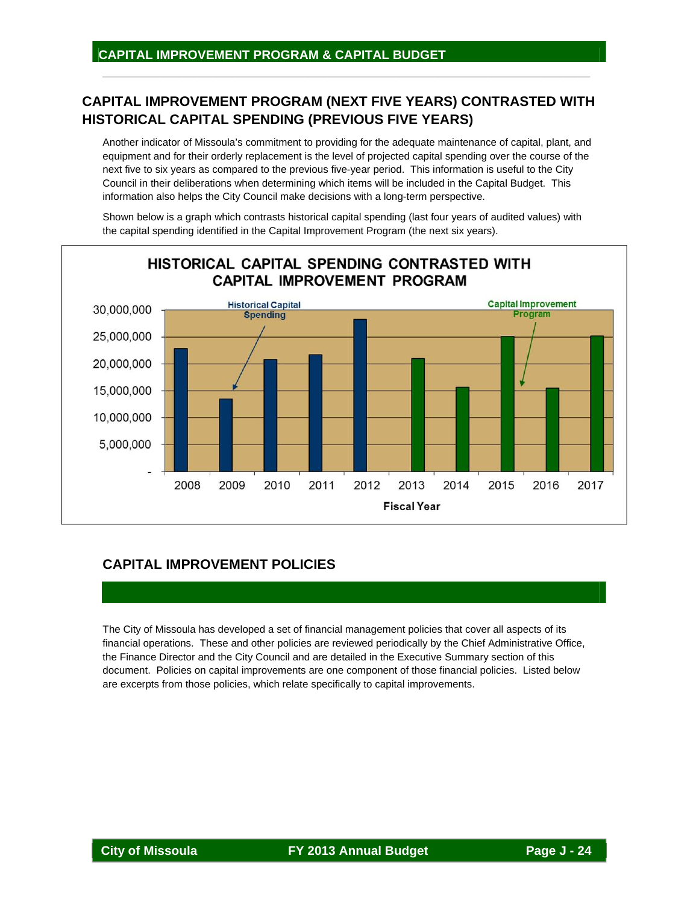# **CAPITAL IMPROVEMENT PROGRAM (NEXT FIVE YEARS) CONTRASTED WITH HISTORICAL CAPITAL SPENDING (PREVIOUS FIVE YEARS)**

 $\overline{\phantom{a}}$  , and the contribution of the contribution of the contribution of the contribution of the contribution of the contribution of the contribution of the contribution of the contribution of the contribution of the

Another indicator of Missoula's commitment to providing for the adequate maintenance of capital, plant, and equipment and for their orderly replacement is the level of projected capital spending over the course of the next five to six years as compared to the previous five-year period. This information is useful to the City Council in their deliberations when determining which items will be included in the Capital Budget. This information also helps the City Council make decisions with a long-term perspective.

Shown below is a graph which contrasts historical capital spending (last four years of audited values) with the capital spending identified in the Capital Improvement Program (the next six years).



# **CAPITAL IMPROVEMENT POLICIES**

The City of Missoula has developed a set of financial management policies that cover all aspects of its financial operations. These and other policies are reviewed periodically by the Chief Administrative Office, the Finance Director and the City Council and are detailed in the Executive Summary section of this document. Policies on capital improvements are one component of those financial policies. Listed below are excerpts from those policies, which relate specifically to capital improvements.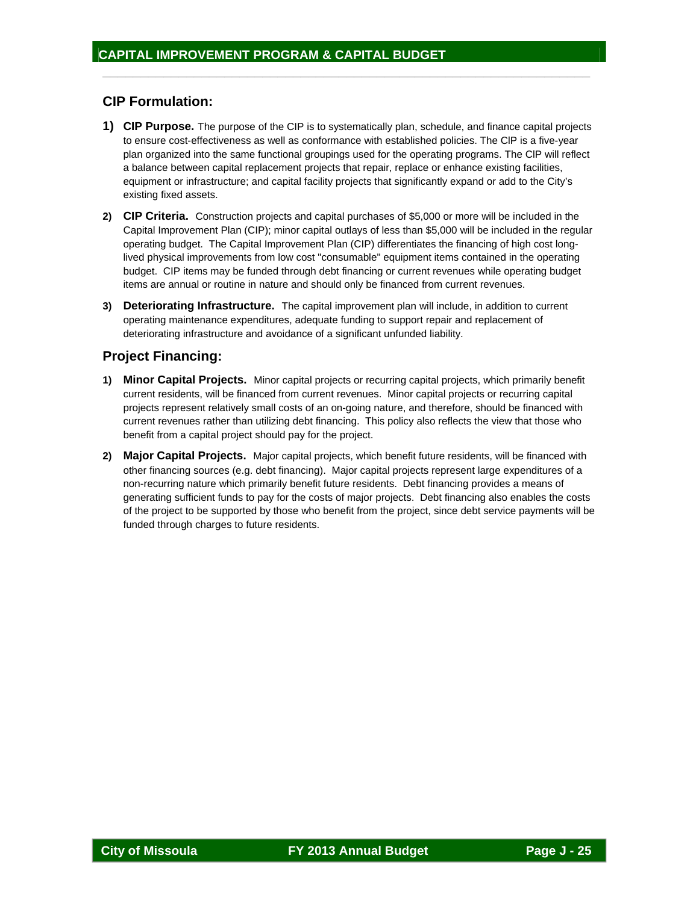## **CIP Formulation:**

**1) CIP Purpose.** The purpose of the CIP is to systematically plan, schedule, and finance capital projects to ensure cost-effectiveness as well as conformance with established policies. The ClP is a five-year plan organized into the same functional groupings used for the operating programs. The ClP will reflect a balance between capital replacement projects that repair, replace or enhance existing facilities, equipment or infrastructure; and capital facility projects that significantly expand or add to the City's existing fixed assets.

 $\frac{1}{2}$  ,  $\frac{1}{2}$  ,  $\frac{1}{2}$  ,  $\frac{1}{2}$  ,  $\frac{1}{2}$  ,  $\frac{1}{2}$  ,  $\frac{1}{2}$  ,  $\frac{1}{2}$  ,  $\frac{1}{2}$  ,  $\frac{1}{2}$  ,  $\frac{1}{2}$  ,  $\frac{1}{2}$  ,  $\frac{1}{2}$  ,  $\frac{1}{2}$  ,  $\frac{1}{2}$  ,  $\frac{1}{2}$  ,  $\frac{1}{2}$  ,  $\frac{1}{2}$  ,  $\frac{1$ 

- **2) CIP Criteria.** Construction projects and capital purchases of \$5,000 or more will be included in the Capital Improvement Plan (CIP); minor capital outlays of less than \$5,000 will be included in the regular operating budget.The Capital Improvement Plan (CIP) differentiates the financing of high cost longlived physical improvements from low cost "consumable" equipment items contained in the operating budget. CIP items may be funded through debt financing or current revenues while operating budget items are annual or routine in nature and should only be financed from current revenues.
- **3) Deteriorating Infrastructure.** The capital improvement plan will include, in addition to current operating maintenance expenditures, adequate funding to support repair and replacement of deteriorating infrastructure and avoidance of a significant unfunded liability.

# **Project Financing:**

- **1) Minor Capital Projects.** Minor capital projects or recurring capital projects, which primarily benefit current residents, will be financed from current revenues. Minor capital projects or recurring capital projects represent relatively small costs of an on-going nature, and therefore, should be financed with current revenues rather than utilizing debt financing. This policy also reflects the view that those who benefit from a capital project should pay for the project.
- **2) Major Capital Projects.** Major capital projects, which benefit future residents, will be financed with other financing sources (e.g. debt financing). Major capital projects represent large expenditures of a non-recurring nature which primarily benefit future residents. Debt financing provides a means of generating sufficient funds to pay for the costs of major projects. Debt financing also enables the costs of the project to be supported by those who benefit from the project, since debt service payments will be funded through charges to future residents.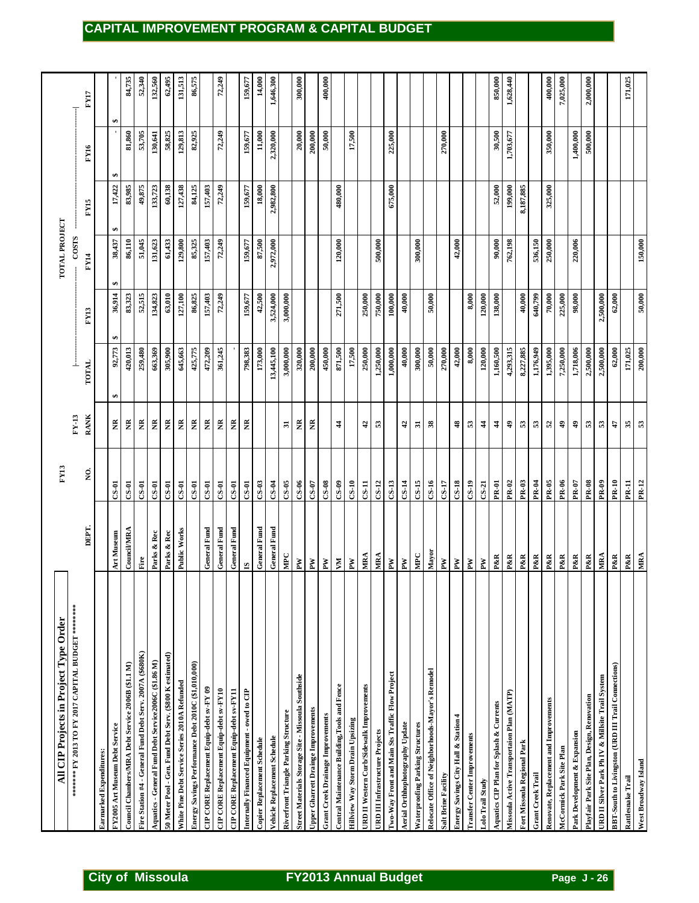| FY17<br>₩<br>1,400,000<br>82,925<br>11,000<br>20,000<br>200,000<br>50,000<br>500,000<br>81,860<br>53,705<br>58,825<br>129,813<br>72,249<br>2,320,000<br>17,500<br>225,000<br>30,500<br>159,677<br>270,000<br>1,703,677<br>350,000<br>130,641<br>FY16<br>Đ,<br>83,985<br>60,138<br>84,125<br>18,000<br>2,982,800<br>199,000<br>49,875<br>127,438<br>72,249<br>8,187,885<br>325,000<br>17,422<br>133,723<br>157,403<br>159,677<br>480,000<br>675,000<br>52,000<br>FY15<br>₩<br><b>COSTS</b><br>85,325<br>762,198<br>220,006<br>86,110<br>51,045<br>61,433<br>157,403<br>72,249<br>87,500<br>2,972,000<br>120,000<br>500,000<br>536,150<br>250,000<br>38,437<br>131,623<br>129,800<br>159,677<br>300,000<br>42,000<br>90,000<br>FY14<br>↮<br>750,000<br>62,000<br>86,825<br>42,500<br>3,524,000<br>3,000,000<br>271,500<br>250,000<br>40,000<br>50,000<br>8,000<br>640,799<br>70,000<br>98,000<br>36,914<br>83,323<br>52,515<br>134,823<br>63,010<br>127,100<br>157,403<br>72,249<br>100,000<br>120,000<br>138,000<br>40,000<br>225,000<br>2,500,000<br>159,677<br><b>FY13</b><br>40,000<br>62,000<br>92,773<br>420,013<br>425,775<br>320,000<br>871,500<br>250,000<br>1,250,000<br>50,000<br>4,293,315<br>8,227,885<br>1,395,000<br>1,718,006<br>2,500,000<br>171,025<br>663,369<br>305,900<br>645,663<br>361,245<br>798,383<br>173,000<br>13,445,100<br>3,000,000<br>450,000<br>1,000,000<br>270,000<br>42,000<br>8,000<br>120,000<br>1,160,500<br>1,176,949<br>7,250,000<br>2,500,000<br>259,480<br>472,209<br>200,000<br>17,500<br>300,000<br>$\frac{1}{1}$<br>TOTAL<br>₩<br><b>RANK</b><br>$FY-13$<br>Ĕ<br>Ã<br>ž<br>ã<br>Ř<br>ž<br>ã<br>Ĕ<br>ã<br>ã<br>ã<br>35<br>ž<br>ž<br>$38\,$<br>$\frac{4}{3}$<br>Ξ<br>4<br>$\frac{2}{3}$<br>${\bf \overline{5}}$<br>53<br>42<br>53<br>\$<br>S.<br>$\frac{4}{3}$<br>Ş,<br>S3<br>2<br>\$<br>\$<br>53<br>47<br>£,<br>ş.<br><b>PR-05</b><br>PR-06<br>PR-08<br><b>PR-10</b><br>$CS-03$<br>$CS-0.5$<br>$0 - S$<br>$CS-0.8$<br>$CS-14$<br>$C-S-15$<br>$C-S-16$<br>$C-S-18$<br>$CS-19$<br>PR-02<br>PR-03<br><b>PR-04</b><br><b>PR-09</b><br><b>PR-11</b><br>$C-S-04$<br>$C-S-7$<br>$C-S-99$<br>$CS-10$<br>$C-S-11$<br>$CS-12$<br>$CS-13$<br>$C-S-17$<br>$CS-21$<br>$PR-07$<br>$C-S-01$<br>$C-S-01$<br>$C-S-11$<br>$C-S-11$<br>$C-S-1$<br>$C-S-1$<br>$CS-01$<br>$CS-01$<br><b>PR-01</b><br>$C-S-01$<br>$C-S-01$<br>$0 - 8$<br>DEPT.<br>General Fund<br>General Fund<br>General Fund<br>General Fund<br>General Fund<br><b>Council/MRA</b><br>Public Works<br>Art Museum<br>Parks & Rec<br>Parks & Rec<br>Mayor<br>MPC<br>MPC<br>MRA<br>MRA<br>P&R<br>P&R<br>P&R<br>MRA<br>P&R<br>P&R<br>P&R<br>P&R<br>P&R<br>P&R<br>P&R<br>$\rm{Fire}$<br>$\mathbf{P}\mathbf{W}$<br>$\mathbf{P}\mathbf{W}$<br>$\mathbf{P}\mathbf{W}$<br>ÅД<br>$\mathbf{P}\mathbf{W}$<br>$_{\rm Pl}$<br>$\mathbf{P}\mathbf{W}$<br>$\mathbf{P}\mathbf{W}$<br>$\mathbf{M}$<br>È<br>$\mathbb{N}$<br>$\mathbf{S}$<br>Fire Station #4 - General Fund Debt Serv. 2007A (\$680K)<br>50 Meter Pool - Gen. Fund Debt Serv. (\$800 K estimated)<br>Aquatics - General Fund Debt Service2006C (\$1.86 M)<br>Energy Savings Performance Debt 2010C (\$1,010,000)<br>Council Chambers/MRA Debt Service 2006B (\$1.1 M)<br>BBT-South to Livingston (URD III Trail Connections)<br>Relocate Office of Neighborhoods-Mayor's Remodel<br>Two-Way Front and Main Sts Traffic Flow Project<br>Street Materials Storage Site - Missoula Southside<br>White Pine Debt Service Series 2010A Refunded<br>URD II Western Curb/Sidewalk Improvements<br>Central Maintenance Building, Tools and Fence<br>CIP CORE Replacement Equip-debt sv-FY 09<br>CIP CORE Replacement Equip-debt sv-FY10<br>CIP CORE Replacement Equip-debt sv-FY11<br>Internally Financed Equipment - owed to CIP<br>Missoula Active Transportaion Plan (MATP)<br>Playfair Park Site Plan, Design, Renovation<br>Renovate, Replacement and Improvements<br>Aquatics CIP Plan for Splash & Currents<br>Upper Gharrett Drainge Improvements<br>Riverfront Triangle Parking Structure<br>Grant Creek Drainage Improvements<br>Energy Savings City Hall & Station 4<br>Hillview Way Storm Drain Upsizing<br>Aerial Orthhophotography Update<br>FY2005 Art Museum Debt Service<br>Waterproofing Parking Structures<br>URD III Infrastructure Projects<br>Park Development & Expansion<br><b>Transfer Center Improvements</b><br>Vehicle Replacement Schedule<br>Copier Replacement Schedule<br>Fort Missoula Regional Park<br>McCormick Park Site Plan<br>Earmarked Expenditures:<br>Grant Creek Trail<br>Rattlesnake Trail<br>Lolo Trail Study | All CIP Projects in Project Type Order | <b>FY13</b> |  | TOTAL PROJECT |  |  |
|---------------------------------------------------------------------------------------------------------------------------------------------------------------------------------------------------------------------------------------------------------------------------------------------------------------------------------------------------------------------------------------------------------------------------------------------------------------------------------------------------------------------------------------------------------------------------------------------------------------------------------------------------------------------------------------------------------------------------------------------------------------------------------------------------------------------------------------------------------------------------------------------------------------------------------------------------------------------------------------------------------------------------------------------------------------------------------------------------------------------------------------------------------------------------------------------------------------------------------------------------------------------------------------------------------------------------------------------------------------------------------------------------------------------------------------------------------------------------------------------------------------------------------------------------------------------------------------------------------------------------------------------------------------------------------------------------------------------------------------------------------------------------------------------------------------------------------------------------------------------------------------------------------------------------------------------------------------------------------------------------------------------------------------------------------------------------------------------------------------------------------------------------------------------------------------------------------------------------------------------------------------------------------------------------------------------------------------------------------------------------------------------------------------------------------------------------------------------------------------------------------------------------------------------------------------------------------------------------------------------------------------------------------------------------------------------------------------------------------------------------------------------------------------------------------------------------------------------------------------------------------------------------------------------------------------------------------------------------------------------------------------------------------------------------------------------------------------------------------------------------------------------------------------------------------------------------------------------------------------------------------------------------------------------------------------------------------------------------------------------------------------------------------------------------------------------------------------------------------------------------------------------------------------------------------------------------------------------------------------------------------------------------------------------------------------------------------------------------------------------------------------------------------------------------------------------------------------------------------------------------------------------------------------------------------------------------------------------------------------------------------------------------------------------------------------------------------------------------------------------------------------------------------------------------------------------------------------------------------------------------------------------------------------------------------------------------------------------------------------------------------------------------------------------------------------------------------------------------------------------------------------------------------------------------------------------------------------|----------------------------------------|-------------|--|---------------|--|--|
|                                                                                                                                                                                                                                                                                                                                                                                                                                                                                                                                                                                                                                                                                                                                                                                                                                                                                                                                                                                                                                                                                                                                                                                                                                                                                                                                                                                                                                                                                                                                                                                                                                                                                                                                                                                                                                                                                                                                                                                                                                                                                                                                                                                                                                                                                                                                                                                                                                                                                                                                                                                                                                                                                                                                                                                                                                                                                                                                                                                                                                                                                                                                                                                                                                                                                                                                                                                                                                                                                                                                                                                                                                                                                                                                                                                                                                                                                                                                                                                                                                                                                                                                                                                                                                                                                                                                                                                                                                                                                                                                                                                       |                                        |             |  |               |  |  |
| URD II Silver Park Ph IV & Millsite Trail System<br>Salt Brine Facility                                                                                                                                                                                                                                                                                                                                                                                                                                                                                                                                                                                                                                                                                                                                                                                                                                                                                                                                                                                                                                                                                                                                                                                                                                                                                                                                                                                                                                                                                                                                                                                                                                                                                                                                                                                                                                                                                                                                                                                                                                                                                                                                                                                                                                                                                                                                                                                                                                                                                                                                                                                                                                                                                                                                                                                                                                                                                                                                                                                                                                                                                                                                                                                                                                                                                                                                                                                                                                                                                                                                                                                                                                                                                                                                                                                                                                                                                                                                                                                                                                                                                                                                                                                                                                                                                                                                                                                                                                                                                                               |                                        |             |  |               |  |  |
| 84,735<br>52,340                                                                                                                                                                                                                                                                                                                                                                                                                                                                                                                                                                                                                                                                                                                                                                                                                                                                                                                                                                                                                                                                                                                                                                                                                                                                                                                                                                                                                                                                                                                                                                                                                                                                                                                                                                                                                                                                                                                                                                                                                                                                                                                                                                                                                                                                                                                                                                                                                                                                                                                                                                                                                                                                                                                                                                                                                                                                                                                                                                                                                                                                                                                                                                                                                                                                                                                                                                                                                                                                                                                                                                                                                                                                                                                                                                                                                                                                                                                                                                                                                                                                                                                                                                                                                                                                                                                                                                                                                                                                                                                                                                      |                                        |             |  |               |  |  |
|                                                                                                                                                                                                                                                                                                                                                                                                                                                                                                                                                                                                                                                                                                                                                                                                                                                                                                                                                                                                                                                                                                                                                                                                                                                                                                                                                                                                                                                                                                                                                                                                                                                                                                                                                                                                                                                                                                                                                                                                                                                                                                                                                                                                                                                                                                                                                                                                                                                                                                                                                                                                                                                                                                                                                                                                                                                                                                                                                                                                                                                                                                                                                                                                                                                                                                                                                                                                                                                                                                                                                                                                                                                                                                                                                                                                                                                                                                                                                                                                                                                                                                                                                                                                                                                                                                                                                                                                                                                                                                                                                                                       |                                        |             |  |               |  |  |
|                                                                                                                                                                                                                                                                                                                                                                                                                                                                                                                                                                                                                                                                                                                                                                                                                                                                                                                                                                                                                                                                                                                                                                                                                                                                                                                                                                                                                                                                                                                                                                                                                                                                                                                                                                                                                                                                                                                                                                                                                                                                                                                                                                                                                                                                                                                                                                                                                                                                                                                                                                                                                                                                                                                                                                                                                                                                                                                                                                                                                                                                                                                                                                                                                                                                                                                                                                                                                                                                                                                                                                                                                                                                                                                                                                                                                                                                                                                                                                                                                                                                                                                                                                                                                                                                                                                                                                                                                                                                                                                                                                                       |                                        |             |  |               |  |  |
| 132,560                                                                                                                                                                                                                                                                                                                                                                                                                                                                                                                                                                                                                                                                                                                                                                                                                                                                                                                                                                                                                                                                                                                                                                                                                                                                                                                                                                                                                                                                                                                                                                                                                                                                                                                                                                                                                                                                                                                                                                                                                                                                                                                                                                                                                                                                                                                                                                                                                                                                                                                                                                                                                                                                                                                                                                                                                                                                                                                                                                                                                                                                                                                                                                                                                                                                                                                                                                                                                                                                                                                                                                                                                                                                                                                                                                                                                                                                                                                                                                                                                                                                                                                                                                                                                                                                                                                                                                                                                                                                                                                                                                               |                                        |             |  |               |  |  |
| 62,495                                                                                                                                                                                                                                                                                                                                                                                                                                                                                                                                                                                                                                                                                                                                                                                                                                                                                                                                                                                                                                                                                                                                                                                                                                                                                                                                                                                                                                                                                                                                                                                                                                                                                                                                                                                                                                                                                                                                                                                                                                                                                                                                                                                                                                                                                                                                                                                                                                                                                                                                                                                                                                                                                                                                                                                                                                                                                                                                                                                                                                                                                                                                                                                                                                                                                                                                                                                                                                                                                                                                                                                                                                                                                                                                                                                                                                                                                                                                                                                                                                                                                                                                                                                                                                                                                                                                                                                                                                                                                                                                                                                |                                        |             |  |               |  |  |
| 86,575<br>131,513<br>72,249                                                                                                                                                                                                                                                                                                                                                                                                                                                                                                                                                                                                                                                                                                                                                                                                                                                                                                                                                                                                                                                                                                                                                                                                                                                                                                                                                                                                                                                                                                                                                                                                                                                                                                                                                                                                                                                                                                                                                                                                                                                                                                                                                                                                                                                                                                                                                                                                                                                                                                                                                                                                                                                                                                                                                                                                                                                                                                                                                                                                                                                                                                                                                                                                                                                                                                                                                                                                                                                                                                                                                                                                                                                                                                                                                                                                                                                                                                                                                                                                                                                                                                                                                                                                                                                                                                                                                                                                                                                                                                                                                           |                                        |             |  |               |  |  |
|                                                                                                                                                                                                                                                                                                                                                                                                                                                                                                                                                                                                                                                                                                                                                                                                                                                                                                                                                                                                                                                                                                                                                                                                                                                                                                                                                                                                                                                                                                                                                                                                                                                                                                                                                                                                                                                                                                                                                                                                                                                                                                                                                                                                                                                                                                                                                                                                                                                                                                                                                                                                                                                                                                                                                                                                                                                                                                                                                                                                                                                                                                                                                                                                                                                                                                                                                                                                                                                                                                                                                                                                                                                                                                                                                                                                                                                                                                                                                                                                                                                                                                                                                                                                                                                                                                                                                                                                                                                                                                                                                                                       |                                        |             |  |               |  |  |
|                                                                                                                                                                                                                                                                                                                                                                                                                                                                                                                                                                                                                                                                                                                                                                                                                                                                                                                                                                                                                                                                                                                                                                                                                                                                                                                                                                                                                                                                                                                                                                                                                                                                                                                                                                                                                                                                                                                                                                                                                                                                                                                                                                                                                                                                                                                                                                                                                                                                                                                                                                                                                                                                                                                                                                                                                                                                                                                                                                                                                                                                                                                                                                                                                                                                                                                                                                                                                                                                                                                                                                                                                                                                                                                                                                                                                                                                                                                                                                                                                                                                                                                                                                                                                                                                                                                                                                                                                                                                                                                                                                                       |                                        |             |  |               |  |  |
|                                                                                                                                                                                                                                                                                                                                                                                                                                                                                                                                                                                                                                                                                                                                                                                                                                                                                                                                                                                                                                                                                                                                                                                                                                                                                                                                                                                                                                                                                                                                                                                                                                                                                                                                                                                                                                                                                                                                                                                                                                                                                                                                                                                                                                                                                                                                                                                                                                                                                                                                                                                                                                                                                                                                                                                                                                                                                                                                                                                                                                                                                                                                                                                                                                                                                                                                                                                                                                                                                                                                                                                                                                                                                                                                                                                                                                                                                                                                                                                                                                                                                                                                                                                                                                                                                                                                                                                                                                                                                                                                                                                       |                                        |             |  |               |  |  |
|                                                                                                                                                                                                                                                                                                                                                                                                                                                                                                                                                                                                                                                                                                                                                                                                                                                                                                                                                                                                                                                                                                                                                                                                                                                                                                                                                                                                                                                                                                                                                                                                                                                                                                                                                                                                                                                                                                                                                                                                                                                                                                                                                                                                                                                                                                                                                                                                                                                                                                                                                                                                                                                                                                                                                                                                                                                                                                                                                                                                                                                                                                                                                                                                                                                                                                                                                                                                                                                                                                                                                                                                                                                                                                                                                                                                                                                                                                                                                                                                                                                                                                                                                                                                                                                                                                                                                                                                                                                                                                                                                                                       |                                        |             |  |               |  |  |
| 300,000<br>159,677<br>1,646,300<br>400,000<br>14,000                                                                                                                                                                                                                                                                                                                                                                                                                                                                                                                                                                                                                                                                                                                                                                                                                                                                                                                                                                                                                                                                                                                                                                                                                                                                                                                                                                                                                                                                                                                                                                                                                                                                                                                                                                                                                                                                                                                                                                                                                                                                                                                                                                                                                                                                                                                                                                                                                                                                                                                                                                                                                                                                                                                                                                                                                                                                                                                                                                                                                                                                                                                                                                                                                                                                                                                                                                                                                                                                                                                                                                                                                                                                                                                                                                                                                                                                                                                                                                                                                                                                                                                                                                                                                                                                                                                                                                                                                                                                                                                                  |                                        |             |  |               |  |  |
|                                                                                                                                                                                                                                                                                                                                                                                                                                                                                                                                                                                                                                                                                                                                                                                                                                                                                                                                                                                                                                                                                                                                                                                                                                                                                                                                                                                                                                                                                                                                                                                                                                                                                                                                                                                                                                                                                                                                                                                                                                                                                                                                                                                                                                                                                                                                                                                                                                                                                                                                                                                                                                                                                                                                                                                                                                                                                                                                                                                                                                                                                                                                                                                                                                                                                                                                                                                                                                                                                                                                                                                                                                                                                                                                                                                                                                                                                                                                                                                                                                                                                                                                                                                                                                                                                                                                                                                                                                                                                                                                                                                       |                                        |             |  |               |  |  |
|                                                                                                                                                                                                                                                                                                                                                                                                                                                                                                                                                                                                                                                                                                                                                                                                                                                                                                                                                                                                                                                                                                                                                                                                                                                                                                                                                                                                                                                                                                                                                                                                                                                                                                                                                                                                                                                                                                                                                                                                                                                                                                                                                                                                                                                                                                                                                                                                                                                                                                                                                                                                                                                                                                                                                                                                                                                                                                                                                                                                                                                                                                                                                                                                                                                                                                                                                                                                                                                                                                                                                                                                                                                                                                                                                                                                                                                                                                                                                                                                                                                                                                                                                                                                                                                                                                                                                                                                                                                                                                                                                                                       |                                        |             |  |               |  |  |
|                                                                                                                                                                                                                                                                                                                                                                                                                                                                                                                                                                                                                                                                                                                                                                                                                                                                                                                                                                                                                                                                                                                                                                                                                                                                                                                                                                                                                                                                                                                                                                                                                                                                                                                                                                                                                                                                                                                                                                                                                                                                                                                                                                                                                                                                                                                                                                                                                                                                                                                                                                                                                                                                                                                                                                                                                                                                                                                                                                                                                                                                                                                                                                                                                                                                                                                                                                                                                                                                                                                                                                                                                                                                                                                                                                                                                                                                                                                                                                                                                                                                                                                                                                                                                                                                                                                                                                                                                                                                                                                                                                                       |                                        |             |  |               |  |  |
|                                                                                                                                                                                                                                                                                                                                                                                                                                                                                                                                                                                                                                                                                                                                                                                                                                                                                                                                                                                                                                                                                                                                                                                                                                                                                                                                                                                                                                                                                                                                                                                                                                                                                                                                                                                                                                                                                                                                                                                                                                                                                                                                                                                                                                                                                                                                                                                                                                                                                                                                                                                                                                                                                                                                                                                                                                                                                                                                                                                                                                                                                                                                                                                                                                                                                                                                                                                                                                                                                                                                                                                                                                                                                                                                                                                                                                                                                                                                                                                                                                                                                                                                                                                                                                                                                                                                                                                                                                                                                                                                                                                       |                                        |             |  |               |  |  |
|                                                                                                                                                                                                                                                                                                                                                                                                                                                                                                                                                                                                                                                                                                                                                                                                                                                                                                                                                                                                                                                                                                                                                                                                                                                                                                                                                                                                                                                                                                                                                                                                                                                                                                                                                                                                                                                                                                                                                                                                                                                                                                                                                                                                                                                                                                                                                                                                                                                                                                                                                                                                                                                                                                                                                                                                                                                                                                                                                                                                                                                                                                                                                                                                                                                                                                                                                                                                                                                                                                                                                                                                                                                                                                                                                                                                                                                                                                                                                                                                                                                                                                                                                                                                                                                                                                                                                                                                                                                                                                                                                                                       |                                        |             |  |               |  |  |
|                                                                                                                                                                                                                                                                                                                                                                                                                                                                                                                                                                                                                                                                                                                                                                                                                                                                                                                                                                                                                                                                                                                                                                                                                                                                                                                                                                                                                                                                                                                                                                                                                                                                                                                                                                                                                                                                                                                                                                                                                                                                                                                                                                                                                                                                                                                                                                                                                                                                                                                                                                                                                                                                                                                                                                                                                                                                                                                                                                                                                                                                                                                                                                                                                                                                                                                                                                                                                                                                                                                                                                                                                                                                                                                                                                                                                                                                                                                                                                                                                                                                                                                                                                                                                                                                                                                                                                                                                                                                                                                                                                                       |                                        |             |  |               |  |  |
|                                                                                                                                                                                                                                                                                                                                                                                                                                                                                                                                                                                                                                                                                                                                                                                                                                                                                                                                                                                                                                                                                                                                                                                                                                                                                                                                                                                                                                                                                                                                                                                                                                                                                                                                                                                                                                                                                                                                                                                                                                                                                                                                                                                                                                                                                                                                                                                                                                                                                                                                                                                                                                                                                                                                                                                                                                                                                                                                                                                                                                                                                                                                                                                                                                                                                                                                                                                                                                                                                                                                                                                                                                                                                                                                                                                                                                                                                                                                                                                                                                                                                                                                                                                                                                                                                                                                                                                                                                                                                                                                                                                       |                                        |             |  |               |  |  |
|                                                                                                                                                                                                                                                                                                                                                                                                                                                                                                                                                                                                                                                                                                                                                                                                                                                                                                                                                                                                                                                                                                                                                                                                                                                                                                                                                                                                                                                                                                                                                                                                                                                                                                                                                                                                                                                                                                                                                                                                                                                                                                                                                                                                                                                                                                                                                                                                                                                                                                                                                                                                                                                                                                                                                                                                                                                                                                                                                                                                                                                                                                                                                                                                                                                                                                                                                                                                                                                                                                                                                                                                                                                                                                                                                                                                                                                                                                                                                                                                                                                                                                                                                                                                                                                                                                                                                                                                                                                                                                                                                                                       |                                        |             |  |               |  |  |
|                                                                                                                                                                                                                                                                                                                                                                                                                                                                                                                                                                                                                                                                                                                                                                                                                                                                                                                                                                                                                                                                                                                                                                                                                                                                                                                                                                                                                                                                                                                                                                                                                                                                                                                                                                                                                                                                                                                                                                                                                                                                                                                                                                                                                                                                                                                                                                                                                                                                                                                                                                                                                                                                                                                                                                                                                                                                                                                                                                                                                                                                                                                                                                                                                                                                                                                                                                                                                                                                                                                                                                                                                                                                                                                                                                                                                                                                                                                                                                                                                                                                                                                                                                                                                                                                                                                                                                                                                                                                                                                                                                                       |                                        |             |  |               |  |  |
|                                                                                                                                                                                                                                                                                                                                                                                                                                                                                                                                                                                                                                                                                                                                                                                                                                                                                                                                                                                                                                                                                                                                                                                                                                                                                                                                                                                                                                                                                                                                                                                                                                                                                                                                                                                                                                                                                                                                                                                                                                                                                                                                                                                                                                                                                                                                                                                                                                                                                                                                                                                                                                                                                                                                                                                                                                                                                                                                                                                                                                                                                                                                                                                                                                                                                                                                                                                                                                                                                                                                                                                                                                                                                                                                                                                                                                                                                                                                                                                                                                                                                                                                                                                                                                                                                                                                                                                                                                                                                                                                                                                       |                                        |             |  |               |  |  |
|                                                                                                                                                                                                                                                                                                                                                                                                                                                                                                                                                                                                                                                                                                                                                                                                                                                                                                                                                                                                                                                                                                                                                                                                                                                                                                                                                                                                                                                                                                                                                                                                                                                                                                                                                                                                                                                                                                                                                                                                                                                                                                                                                                                                                                                                                                                                                                                                                                                                                                                                                                                                                                                                                                                                                                                                                                                                                                                                                                                                                                                                                                                                                                                                                                                                                                                                                                                                                                                                                                                                                                                                                                                                                                                                                                                                                                                                                                                                                                                                                                                                                                                                                                                                                                                                                                                                                                                                                                                                                                                                                                                       |                                        |             |  |               |  |  |
|                                                                                                                                                                                                                                                                                                                                                                                                                                                                                                                                                                                                                                                                                                                                                                                                                                                                                                                                                                                                                                                                                                                                                                                                                                                                                                                                                                                                                                                                                                                                                                                                                                                                                                                                                                                                                                                                                                                                                                                                                                                                                                                                                                                                                                                                                                                                                                                                                                                                                                                                                                                                                                                                                                                                                                                                                                                                                                                                                                                                                                                                                                                                                                                                                                                                                                                                                                                                                                                                                                                                                                                                                                                                                                                                                                                                                                                                                                                                                                                                                                                                                                                                                                                                                                                                                                                                                                                                                                                                                                                                                                                       |                                        |             |  |               |  |  |
|                                                                                                                                                                                                                                                                                                                                                                                                                                                                                                                                                                                                                                                                                                                                                                                                                                                                                                                                                                                                                                                                                                                                                                                                                                                                                                                                                                                                                                                                                                                                                                                                                                                                                                                                                                                                                                                                                                                                                                                                                                                                                                                                                                                                                                                                                                                                                                                                                                                                                                                                                                                                                                                                                                                                                                                                                                                                                                                                                                                                                                                                                                                                                                                                                                                                                                                                                                                                                                                                                                                                                                                                                                                                                                                                                                                                                                                                                                                                                                                                                                                                                                                                                                                                                                                                                                                                                                                                                                                                                                                                                                                       |                                        |             |  |               |  |  |
| 400,000<br>7,025,000<br>2,000,000<br>1,628,440<br>850,000                                                                                                                                                                                                                                                                                                                                                                                                                                                                                                                                                                                                                                                                                                                                                                                                                                                                                                                                                                                                                                                                                                                                                                                                                                                                                                                                                                                                                                                                                                                                                                                                                                                                                                                                                                                                                                                                                                                                                                                                                                                                                                                                                                                                                                                                                                                                                                                                                                                                                                                                                                                                                                                                                                                                                                                                                                                                                                                                                                                                                                                                                                                                                                                                                                                                                                                                                                                                                                                                                                                                                                                                                                                                                                                                                                                                                                                                                                                                                                                                                                                                                                                                                                                                                                                                                                                                                                                                                                                                                                                             |                                        |             |  |               |  |  |
|                                                                                                                                                                                                                                                                                                                                                                                                                                                                                                                                                                                                                                                                                                                                                                                                                                                                                                                                                                                                                                                                                                                                                                                                                                                                                                                                                                                                                                                                                                                                                                                                                                                                                                                                                                                                                                                                                                                                                                                                                                                                                                                                                                                                                                                                                                                                                                                                                                                                                                                                                                                                                                                                                                                                                                                                                                                                                                                                                                                                                                                                                                                                                                                                                                                                                                                                                                                                                                                                                                                                                                                                                                                                                                                                                                                                                                                                                                                                                                                                                                                                                                                                                                                                                                                                                                                                                                                                                                                                                                                                                                                       |                                        |             |  |               |  |  |
|                                                                                                                                                                                                                                                                                                                                                                                                                                                                                                                                                                                                                                                                                                                                                                                                                                                                                                                                                                                                                                                                                                                                                                                                                                                                                                                                                                                                                                                                                                                                                                                                                                                                                                                                                                                                                                                                                                                                                                                                                                                                                                                                                                                                                                                                                                                                                                                                                                                                                                                                                                                                                                                                                                                                                                                                                                                                                                                                                                                                                                                                                                                                                                                                                                                                                                                                                                                                                                                                                                                                                                                                                                                                                                                                                                                                                                                                                                                                                                                                                                                                                                                                                                                                                                                                                                                                                                                                                                                                                                                                                                                       |                                        |             |  |               |  |  |
|                                                                                                                                                                                                                                                                                                                                                                                                                                                                                                                                                                                                                                                                                                                                                                                                                                                                                                                                                                                                                                                                                                                                                                                                                                                                                                                                                                                                                                                                                                                                                                                                                                                                                                                                                                                                                                                                                                                                                                                                                                                                                                                                                                                                                                                                                                                                                                                                                                                                                                                                                                                                                                                                                                                                                                                                                                                                                                                                                                                                                                                                                                                                                                                                                                                                                                                                                                                                                                                                                                                                                                                                                                                                                                                                                                                                                                                                                                                                                                                                                                                                                                                                                                                                                                                                                                                                                                                                                                                                                                                                                                                       |                                        |             |  |               |  |  |
|                                                                                                                                                                                                                                                                                                                                                                                                                                                                                                                                                                                                                                                                                                                                                                                                                                                                                                                                                                                                                                                                                                                                                                                                                                                                                                                                                                                                                                                                                                                                                                                                                                                                                                                                                                                                                                                                                                                                                                                                                                                                                                                                                                                                                                                                                                                                                                                                                                                                                                                                                                                                                                                                                                                                                                                                                                                                                                                                                                                                                                                                                                                                                                                                                                                                                                                                                                                                                                                                                                                                                                                                                                                                                                                                                                                                                                                                                                                                                                                                                                                                                                                                                                                                                                                                                                                                                                                                                                                                                                                                                                                       |                                        |             |  |               |  |  |
|                                                                                                                                                                                                                                                                                                                                                                                                                                                                                                                                                                                                                                                                                                                                                                                                                                                                                                                                                                                                                                                                                                                                                                                                                                                                                                                                                                                                                                                                                                                                                                                                                                                                                                                                                                                                                                                                                                                                                                                                                                                                                                                                                                                                                                                                                                                                                                                                                                                                                                                                                                                                                                                                                                                                                                                                                                                                                                                                                                                                                                                                                                                                                                                                                                                                                                                                                                                                                                                                                                                                                                                                                                                                                                                                                                                                                                                                                                                                                                                                                                                                                                                                                                                                                                                                                                                                                                                                                                                                                                                                                                                       |                                        |             |  |               |  |  |
|                                                                                                                                                                                                                                                                                                                                                                                                                                                                                                                                                                                                                                                                                                                                                                                                                                                                                                                                                                                                                                                                                                                                                                                                                                                                                                                                                                                                                                                                                                                                                                                                                                                                                                                                                                                                                                                                                                                                                                                                                                                                                                                                                                                                                                                                                                                                                                                                                                                                                                                                                                                                                                                                                                                                                                                                                                                                                                                                                                                                                                                                                                                                                                                                                                                                                                                                                                                                                                                                                                                                                                                                                                                                                                                                                                                                                                                                                                                                                                                                                                                                                                                                                                                                                                                                                                                                                                                                                                                                                                                                                                                       |                                        |             |  |               |  |  |
|                                                                                                                                                                                                                                                                                                                                                                                                                                                                                                                                                                                                                                                                                                                                                                                                                                                                                                                                                                                                                                                                                                                                                                                                                                                                                                                                                                                                                                                                                                                                                                                                                                                                                                                                                                                                                                                                                                                                                                                                                                                                                                                                                                                                                                                                                                                                                                                                                                                                                                                                                                                                                                                                                                                                                                                                                                                                                                                                                                                                                                                                                                                                                                                                                                                                                                                                                                                                                                                                                                                                                                                                                                                                                                                                                                                                                                                                                                                                                                                                                                                                                                                                                                                                                                                                                                                                                                                                                                                                                                                                                                                       |                                        |             |  |               |  |  |
|                                                                                                                                                                                                                                                                                                                                                                                                                                                                                                                                                                                                                                                                                                                                                                                                                                                                                                                                                                                                                                                                                                                                                                                                                                                                                                                                                                                                                                                                                                                                                                                                                                                                                                                                                                                                                                                                                                                                                                                                                                                                                                                                                                                                                                                                                                                                                                                                                                                                                                                                                                                                                                                                                                                                                                                                                                                                                                                                                                                                                                                                                                                                                                                                                                                                                                                                                                                                                                                                                                                                                                                                                                                                                                                                                                                                                                                                                                                                                                                                                                                                                                                                                                                                                                                                                                                                                                                                                                                                                                                                                                                       |                                        |             |  |               |  |  |
|                                                                                                                                                                                                                                                                                                                                                                                                                                                                                                                                                                                                                                                                                                                                                                                                                                                                                                                                                                                                                                                                                                                                                                                                                                                                                                                                                                                                                                                                                                                                                                                                                                                                                                                                                                                                                                                                                                                                                                                                                                                                                                                                                                                                                                                                                                                                                                                                                                                                                                                                                                                                                                                                                                                                                                                                                                                                                                                                                                                                                                                                                                                                                                                                                                                                                                                                                                                                                                                                                                                                                                                                                                                                                                                                                                                                                                                                                                                                                                                                                                                                                                                                                                                                                                                                                                                                                                                                                                                                                                                                                                                       |                                        |             |  |               |  |  |
|                                                                                                                                                                                                                                                                                                                                                                                                                                                                                                                                                                                                                                                                                                                                                                                                                                                                                                                                                                                                                                                                                                                                                                                                                                                                                                                                                                                                                                                                                                                                                                                                                                                                                                                                                                                                                                                                                                                                                                                                                                                                                                                                                                                                                                                                                                                                                                                                                                                                                                                                                                                                                                                                                                                                                                                                                                                                                                                                                                                                                                                                                                                                                                                                                                                                                                                                                                                                                                                                                                                                                                                                                                                                                                                                                                                                                                                                                                                                                                                                                                                                                                                                                                                                                                                                                                                                                                                                                                                                                                                                                                                       |                                        |             |  |               |  |  |
|                                                                                                                                                                                                                                                                                                                                                                                                                                                                                                                                                                                                                                                                                                                                                                                                                                                                                                                                                                                                                                                                                                                                                                                                                                                                                                                                                                                                                                                                                                                                                                                                                                                                                                                                                                                                                                                                                                                                                                                                                                                                                                                                                                                                                                                                                                                                                                                                                                                                                                                                                                                                                                                                                                                                                                                                                                                                                                                                                                                                                                                                                                                                                                                                                                                                                                                                                                                                                                                                                                                                                                                                                                                                                                                                                                                                                                                                                                                                                                                                                                                                                                                                                                                                                                                                                                                                                                                                                                                                                                                                                                                       |                                        |             |  |               |  |  |
|                                                                                                                                                                                                                                                                                                                                                                                                                                                                                                                                                                                                                                                                                                                                                                                                                                                                                                                                                                                                                                                                                                                                                                                                                                                                                                                                                                                                                                                                                                                                                                                                                                                                                                                                                                                                                                                                                                                                                                                                                                                                                                                                                                                                                                                                                                                                                                                                                                                                                                                                                                                                                                                                                                                                                                                                                                                                                                                                                                                                                                                                                                                                                                                                                                                                                                                                                                                                                                                                                                                                                                                                                                                                                                                                                                                                                                                                                                                                                                                                                                                                                                                                                                                                                                                                                                                                                                                                                                                                                                                                                                                       |                                        |             |  |               |  |  |
| 171,025                                                                                                                                                                                                                                                                                                                                                                                                                                                                                                                                                                                                                                                                                                                                                                                                                                                                                                                                                                                                                                                                                                                                                                                                                                                                                                                                                                                                                                                                                                                                                                                                                                                                                                                                                                                                                                                                                                                                                                                                                                                                                                                                                                                                                                                                                                                                                                                                                                                                                                                                                                                                                                                                                                                                                                                                                                                                                                                                                                                                                                                                                                                                                                                                                                                                                                                                                                                                                                                                                                                                                                                                                                                                                                                                                                                                                                                                                                                                                                                                                                                                                                                                                                                                                                                                                                                                                                                                                                                                                                                                                                               |                                        |             |  |               |  |  |
|                                                                                                                                                                                                                                                                                                                                                                                                                                                                                                                                                                                                                                                                                                                                                                                                                                                                                                                                                                                                                                                                                                                                                                                                                                                                                                                                                                                                                                                                                                                                                                                                                                                                                                                                                                                                                                                                                                                                                                                                                                                                                                                                                                                                                                                                                                                                                                                                                                                                                                                                                                                                                                                                                                                                                                                                                                                                                                                                                                                                                                                                                                                                                                                                                                                                                                                                                                                                                                                                                                                                                                                                                                                                                                                                                                                                                                                                                                                                                                                                                                                                                                                                                                                                                                                                                                                                                                                                                                                                                                                                                                                       |                                        |             |  |               |  |  |
|                                                                                                                                                                                                                                                                                                                                                                                                                                                                                                                                                                                                                                                                                                                                                                                                                                                                                                                                                                                                                                                                                                                                                                                                                                                                                                                                                                                                                                                                                                                                                                                                                                                                                                                                                                                                                                                                                                                                                                                                                                                                                                                                                                                                                                                                                                                                                                                                                                                                                                                                                                                                                                                                                                                                                                                                                                                                                                                                                                                                                                                                                                                                                                                                                                                                                                                                                                                                                                                                                                                                                                                                                                                                                                                                                                                                                                                                                                                                                                                                                                                                                                                                                                                                                                                                                                                                                                                                                                                                                                                                                                                       |                                        |             |  |               |  |  |
|                                                                                                                                                                                                                                                                                                                                                                                                                                                                                                                                                                                                                                                                                                                                                                                                                                                                                                                                                                                                                                                                                                                                                                                                                                                                                                                                                                                                                                                                                                                                                                                                                                                                                                                                                                                                                                                                                                                                                                                                                                                                                                                                                                                                                                                                                                                                                                                                                                                                                                                                                                                                                                                                                                                                                                                                                                                                                                                                                                                                                                                                                                                                                                                                                                                                                                                                                                                                                                                                                                                                                                                                                                                                                                                                                                                                                                                                                                                                                                                                                                                                                                                                                                                                                                                                                                                                                                                                                                                                                                                                                                                       |                                        |             |  |               |  |  |